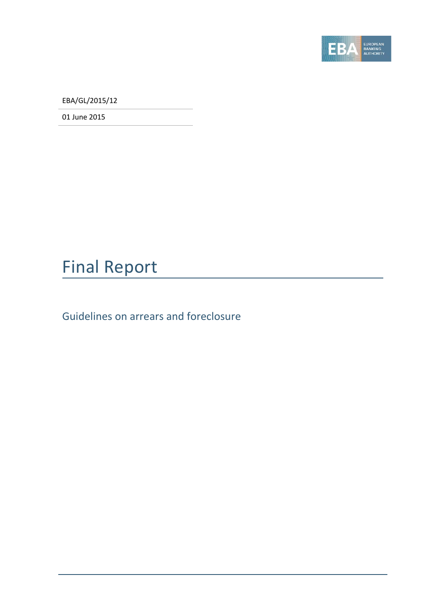

EBA/GL/2015/12

01 June 2015

# Final Report

Guidelines on arrears and foreclosure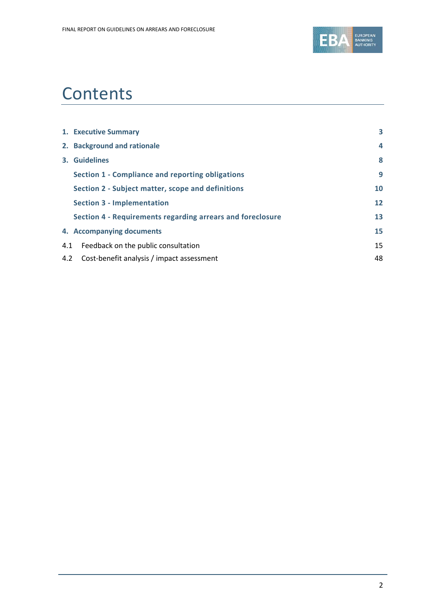

# **Contents**

|     | 1. Executive Summary                                       | 3  |
|-----|------------------------------------------------------------|----|
|     | 2. Background and rationale                                | 4  |
|     | 3. Guidelines                                              | 8  |
|     | Section 1 - Compliance and reporting obligations           | 9  |
|     | Section 2 - Subject matter, scope and definitions          | 10 |
|     | <b>Section 3 - Implementation</b>                          | 12 |
|     | Section 4 - Requirements regarding arrears and foreclosure | 13 |
|     | 4. Accompanying documents                                  | 15 |
| 4.1 | Feedback on the public consultation                        | 15 |
| 4.2 | Cost-benefit analysis / impact assessment                  | 48 |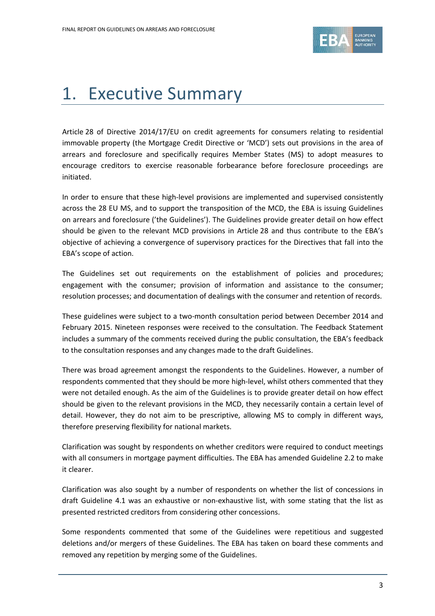

# <span id="page-2-0"></span>1. Executive Summary

Article 28 of Directive 2014/17/EU on credit agreements for consumers relating to residential immovable property (the Mortgage Credit Directive or 'MCD') sets out provisions in the area of arrears and foreclosure and specifically requires Member States (MS) to adopt measures to encourage creditors to exercise reasonable forbearance before foreclosure proceedings are initiated.

In order to ensure that these high-level provisions are implemented and supervised consistently across the 28 EU MS, and to support the transposition of the MCD, the EBA is issuing Guidelines on arrears and foreclosure ('the Guidelines'). The Guidelines provide greater detail on how effect should be given to the relevant MCD provisions in Article 28 and thus contribute to the EBA's objective of achieving a convergence of supervisory practices for the Directives that fall into the EBA's scope of action.

The Guidelines set out requirements on the establishment of policies and procedures; engagement with the consumer; provision of information and assistance to the consumer; resolution processes; and documentation of dealings with the consumer and retention of records.

These guidelines were subject to a two-month consultation period between December 2014 and February 2015. Nineteen responses were received to the consultation. The Feedback Statement includes a summary of the comments received during the public consultation, the EBA's feedback to the consultation responses and any changes made to the draft Guidelines.

There was broad agreement amongst the respondents to the Guidelines. However, a number of respondents commented that they should be more high-level, whilst others commented that they were not detailed enough. As the aim of the Guidelines is to provide greater detail on how effect should be given to the relevant provisions in the MCD, they necessarily contain a certain level of detail. However, they do not aim to be prescriptive, allowing MS to comply in different ways, therefore preserving flexibility for national markets.

Clarification was sought by respondents on whether creditors were required to conduct meetings with all consumers in mortgage payment difficulties. The EBA has amended Guideline 2.2 to make it clearer.

Clarification was also sought by a number of respondents on whether the list of concessions in draft Guideline 4.1 was an exhaustive or non-exhaustive list, with some stating that the list as presented restricted creditors from considering other concessions.

Some respondents commented that some of the Guidelines were repetitious and suggested deletions and/or mergers of these Guidelines. The EBA has taken on board these comments and removed any repetition by merging some of the Guidelines.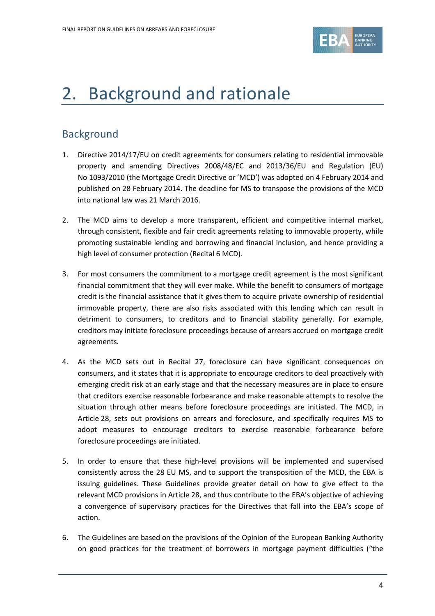

# <span id="page-3-0"></span>2. Background and rationale

### **Background**

- 1. Directive 2014/17/EU on credit agreements for consumers relating to residential immovable property and amending Directives 2008/48/EC and 2013/36/EU and Regulation (EU) No 1093/2010 (the Mortgage Credit Directive or 'MCD') was adopted on 4 February 2014 and published on 28 February 2014. The deadline for MS to transpose the provisions of the MCD into national law was 21 March 2016.
- 2. The MCD aims to develop a more transparent, efficient and competitive internal market, through consistent, flexible and fair credit agreements relating to immovable property, while promoting sustainable lending and borrowing and financial inclusion, and hence providing a high level of consumer protection (Recital 6 MCD).
- 3. For most consumers the commitment to a mortgage credit agreement is the most significant financial commitment that they will ever make. While the benefit to consumers of mortgage credit is the financial assistance that it gives them to acquire private ownership of residential immovable property, there are also risks associated with this lending which can result in detriment to consumers, to creditors and to financial stability generally. For example, creditors may initiate foreclosure proceedings because of arrears accrued on mortgage credit agreements.
- 4. As the MCD sets out in Recital 27, foreclosure can have significant consequences on consumers, and it states that it is appropriate to encourage creditors to deal proactively with emerging credit risk at an early stage and that the necessary measures are in place to ensure that creditors exercise reasonable forbearance and make reasonable attempts to resolve the situation through other means before foreclosure proceedings are initiated. The MCD, in Article 28, sets out provisions on arrears and foreclosure, and specifically requires MS to adopt measures to encourage creditors to exercise reasonable forbearance before foreclosure proceedings are initiated.
- 5. In order to ensure that these high-level provisions will be implemented and supervised consistently across the 28 EU MS, and to support the transposition of the MCD, the EBA is issuing guidelines. These Guidelines provide greater detail on how to give effect to the relevant MCD provisions in Article 28, and thus contribute to the EBA's objective of achieving a convergence of supervisory practices for the Directives that fall into the EBA's scope of action.
- 6. The Guidelines are based on the provisions of the Opinion of the European Banking Authority on good practices for the treatment of borrowers in mortgage payment difficulties ("the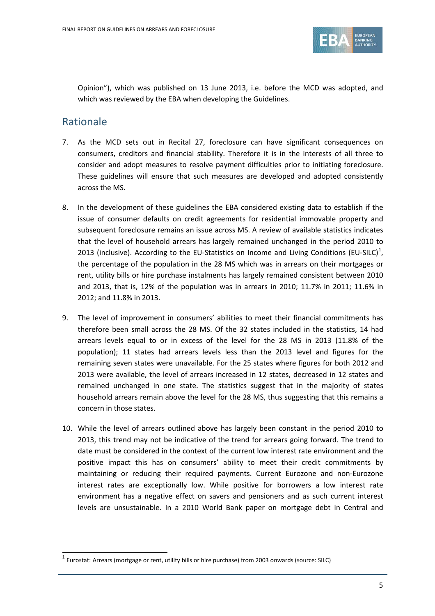

Opinion"), which was published on 13 June 2013, i.e. before the MCD was adopted, and which was reviewed by the EBA when developing the Guidelines.

### Rationale

 $\overline{a}$ 

- 7. As the MCD sets out in Recital 27, foreclosure can have significant consequences on consumers, creditors and financial stability. Therefore it is in the interests of all three to consider and adopt measures to resolve payment difficulties prior to initiating foreclosure. These guidelines will ensure that such measures are developed and adopted consistently across the MS.
- 8. In the development of these guidelines the EBA considered existing data to establish if the issue of consumer defaults on credit agreements for residential immovable property and subsequent foreclosure remains an issue across MS. A review of available statistics indicates that the level of household arrears has largely remained unchanged in the period 2010 to 20[1](#page-4-0)3 (inclusive). According to the EU-Statistics on Income and Living Conditions (EU-SILC)<sup>1</sup>, the percentage of the population in the 28 MS which was in arrears on their mortgages or rent, utility bills or hire purchase instalments has largely remained consistent between 2010 and 2013, that is, 12% of the population was in arrears in 2010; 11.7% in 2011; 11.6% in 2012; and 11.8% in 2013.
- 9. The level of improvement in consumers' abilities to meet their financial commitments has therefore been small across the 28 MS. Of the 32 states included in the statistics, 14 had arrears levels equal to or in excess of the level for the 28 MS in 2013 (11.8% of the population); 11 states had arrears levels less than the 2013 level and figures for the remaining seven states were unavailable. For the 25 states where figures for both 2012 and 2013 were available, the level of arrears increased in 12 states, decreased in 12 states and remained unchanged in one state. The statistics suggest that in the majority of states household arrears remain above the level for the 28 MS, thus suggesting that this remains a concern in those states.
- 10. While the level of arrears outlined above has largely been constant in the period 2010 to 2013, this trend may not be indicative of the trend for arrears going forward. The trend to date must be considered in the context of the current low interest rate environment and the positive impact this has on consumers' ability to meet their credit commitments by maintaining or reducing their required payments. Current Eurozone and non-Eurozone interest rates are exceptionally low. While positive for borrowers a low interest rate environment has a negative effect on savers and pensioners and as such current interest levels are unsustainable. In a 2010 World Bank paper on mortgage debt in Central and

<span id="page-4-0"></span> $<sup>1</sup>$  Eurostat: Arrears (mortgage or rent, utility bills or hire purchase) from 2003 onwards (source: SILC)</sup>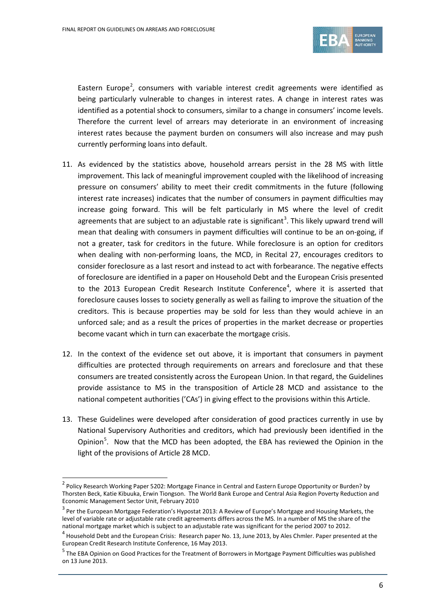

Eastern Europe<sup>[2](#page-5-0)</sup>, consumers with variable interest credit agreements were identified as being particularly vulnerable to changes in interest rates. A change in interest rates was identified as a potential shock to consumers, similar to a change in consumers' income levels. Therefore the current level of arrears may deteriorate in an environment of increasing interest rates because the payment burden on consumers will also increase and may push currently performing loans into default.

- 11. As evidenced by the statistics above, household arrears persist in the 28 MS with little improvement. This lack of meaningful improvement coupled with the likelihood of increasing pressure on consumers' ability to meet their credit commitments in the future (following interest rate increases) indicates that the number of consumers in payment difficulties may increase going forward. This will be felt particularly in MS where the level of credit agreements that are subject to an adjustable rate is significant<sup>[3](#page-5-1)</sup>. This likely upward trend will mean that dealing with consumers in payment difficulties will continue to be an on-going, if not a greater, task for creditors in the future. While foreclosure is an option for creditors when dealing with non-performing loans, the MCD, in Recital 27, encourages creditors to consider foreclosure as a last resort and instead to act with forbearance. The negative effects of foreclosure are identified in a paper on Household Debt and the European Crisis presented to the 2013 European Credit Research Institute Conference<sup>[4](#page-5-2)</sup>, where it is asserted that foreclosure causes losses to society generally as well as failing to improve the situation of the creditors. This is because properties may be sold for less than they would achieve in an unforced sale; and as a result the prices of properties in the market decrease or properties become vacant which in turn can exacerbate the mortgage crisis.
- 12. In the context of the evidence set out above, it is important that consumers in payment difficulties are protected through requirements on arrears and foreclosure and that these consumers are treated consistently across the European Union. In that regard, the Guidelines provide assistance to MS in the transposition of Article 28 MCD and assistance to the national competent authorities ('CAs') in giving effect to the provisions within this Article.
- 13. These Guidelines were developed after consideration of good practices currently in use by National Supervisory Authorities and creditors, which had previously been identified in the Opinion<sup>[5](#page-5-3)</sup>. Now that the MCD has been adopted, the EBA has reviewed the Opinion in the light of the provisions of Article 28 MCD.

 $\overline{a}$ 

<span id="page-5-0"></span><sup>&</sup>lt;sup>2</sup> Policy Research Working Paper 5202: Mortgage Finance in Central and Eastern Europe Opportunity or Burden? by Thorsten Beck, Katie Kibuuka, Erwin Tiongson. The World Bank Europe and Central Asia Region Poverty Reduction and Economic Management Sector Unit, February 2010

<span id="page-5-1"></span> $3$  Per the European Mortgage Federation's Hypostat 2013: A Review of Europe's Mortgage and Housing Markets, the level of variable rate or adjustable rate credit agreements differs across the MS. In a number of MS the share of the national mortgage market which is subject to an adjustable rate was significant for the period 2007 to 2012.

<span id="page-5-2"></span> $4$  Household Debt and the European Crisis: Research paper No. 13, June 2013, by Ales Chmler. Paper presented at the European Credit Research Institute Conference, 16 May 2013.

<span id="page-5-3"></span><sup>&</sup>lt;sup>5</sup> The EBA Opinion on Good Practices for the Treatment of Borrowers in Mortgage Payment Difficulties was published on 13 June 2013.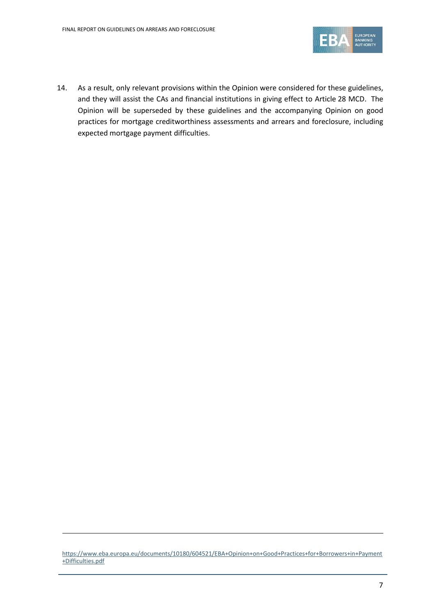

14. As a result, only relevant provisions within the Opinion were considered for these guidelines, and they will assist the CAs and financial institutions in giving effect to Article 28 MCD. The Opinion will be superseded by these guidelines and the accompanying Opinion on good practices for mortgage creditworthiness assessments and arrears and foreclosure, including expected mortgage payment difficulties.

1

[https://www.eba.europa.eu/documents/10180/604521/EBA+Opinion+on+Good+Practices+for+Borrowers+in+Payment](https://www.eba.europa.eu/documents/10180/604521/EBA+Opinion+on+Good+Practices+for+Borrowers+in+Payment+Difficulties.pdf) [+Difficulties.pdf](https://www.eba.europa.eu/documents/10180/604521/EBA+Opinion+on+Good+Practices+for+Borrowers+in+Payment+Difficulties.pdf)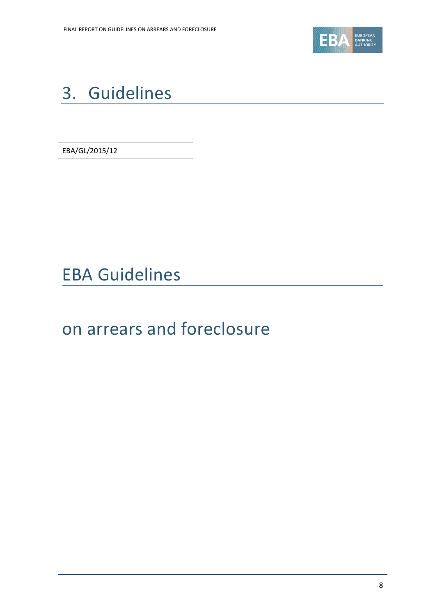

# <span id="page-7-0"></span>3. Guidelines

EBA/GL/2015/12

EBA Guidelines

# on arrears and foreclosure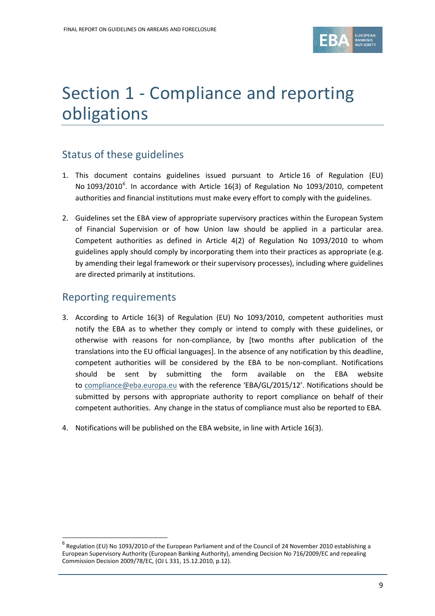

# <span id="page-8-0"></span>Section 1 - Compliance and reporting obligations

## Status of these guidelines

- 1. This document contains guidelines issued pursuant to Article 16 of Regulation (EU) No 1093/2010<sup>[6](#page-8-1)</sup>. In accordance with Article 16(3) of Regulation No 1093/2010, competent authorities and financial institutions must make every effort to comply with the guidelines.
- 2. Guidelines set the EBA view of appropriate supervisory practices within the European System of Financial Supervision or of how Union law should be applied in a particular area. Competent authorities as defined in Article 4(2) of Regulation No 1093/2010 to whom guidelines apply should comply by incorporating them into their practices as appropriate (e.g. by amending their legal framework or their supervisory processes), including where guidelines are directed primarily at institutions.

### Reporting requirements

 $\overline{a}$ 

- 3. According to Article 16(3) of Regulation (EU) No 1093/2010, competent authorities must notify the EBA as to whether they comply or intend to comply with these guidelines, or otherwise with reasons for non-compliance, by [two months after publication of the translations into the EU official languages]. In the absence of any notification by this deadline, competent authorities will be considered by the EBA to be non-compliant. Notifications should be sent by submitting the form available on the EBA website to [compliance@eba.europa.eu](mailto:compliance@eba.europa.eu) with the reference 'EBA/GL/2015/12'. Notifications should be submitted by persons with appropriate authority to report compliance on behalf of their competent authorities. Any change in the status of compliance must also be reported to EBA.
- 4. Notifications will be published on the EBA website, in line with Article 16(3).

<span id="page-8-1"></span><sup>&</sup>lt;sup>6</sup> Regulation (EU) No 1093/2010 of the European Parliament and of the Council of 24 November 2010 establishing a European Supervisory Authority (European Banking Authority), amending Decision No 716/2009/EC and repealing Commission Decision 2009/78/EC, (OJ L 331, 15.12.2010, p.12).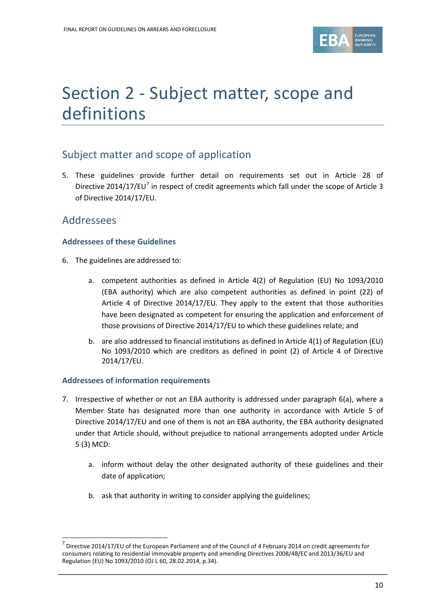

# <span id="page-9-0"></span>Section 2 - Subject matter, scope and definitions

### Subject matter and scope of application

5. These guidelines provide further detail on requirements set out in Article 28 of Directive 2014/1[7](#page-9-1)/EU<sup>7</sup> in respect of credit agreements which fall under the scope of Article 3 of Directive 2014/17/EU*.*

### Addressees

 $\overline{a}$ 

### **Addressees of these Guidelines**

- 6. The guidelines are addressed to:
	- a. competent authorities as defined in Article 4(2) of Regulation (EU) No 1093/2010 (EBA authority) which are also competent authorities as defined in point (22) of Article 4 of Directive 2014/17/EU. They apply to the extent that those authorities have been designated as competent for ensuring the application and enforcement of those provisions of Directive 2014/17/EU to which these guidelines relate; and
	- b. are also addressed to financial institutions as defined in Article 4(1) of Regulation (EU) No 1093/2010 which are creditors as defined in point (2) of Article 4 of Directive 2014/17/EU.

### **Addressees of information requirements**

- 7. Irrespective of whether or not an EBA authority is addressed under paragraph 6(a), where a Member State has designated more than one authority in accordance with Article 5 of Directive 2014/17/EU and one of them is not an EBA authority, the EBA authority designated under that Article should, without prejudice to national arrangements adopted under Article 5 (3) MCD:
	- a. inform without delay the other designated authority of these guidelines and their date of application;
	- b. ask that authority in writing to consider applying the guidelines;

<span id="page-9-1"></span><sup>&</sup>lt;sup>7</sup> Directive 2014/17/EU of the European Parliament and of the Council of 4 February 2014 on credit agreements for consumers relating to residential immovable property and amending Directives 2008/48/EC and 2013/36/EU and Regulation (EU) No 1093/2010 (OJ L 60, 28.02.2014, p.34).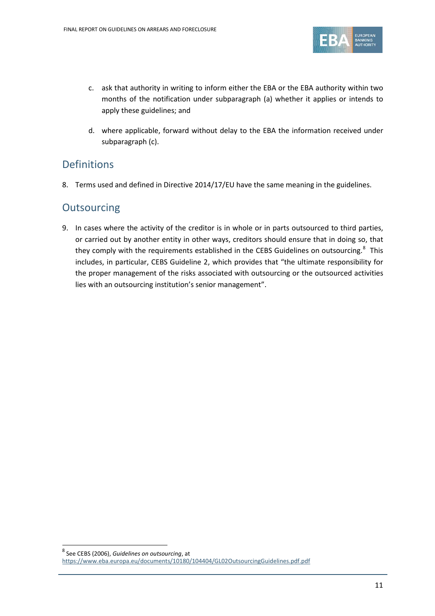

- c. ask that authority in writing to inform either the EBA or the EBA authority within two months of the notification under subparagraph (a) whether it applies or intends to apply these guidelines; and
- d. where applicable, forward without delay to the EBA the information received under subparagraph (c).

### Definitions

8. Terms used and defined in Directive 2014/17/EU have the same meaning in the guidelines.

### **Outsourcing**

 $\overline{a}$ 

9. In cases where the activity of the creditor is in whole or in parts outsourced to third parties, or carried out by another entity in other ways, creditors should ensure that in doing so, that they comply with the requirements established in the CEBS Guidelines on outsourcing.<sup>[8](#page-10-0)</sup> This includes, in particular, CEBS Guideline 2, which provides that "the ultimate responsibility for the proper management of the risks associated with outsourcing or the outsourced activities lies with an outsourcing institution's senior management".

<span id="page-10-0"></span><sup>8</sup> See CEBS (2006), *Guidelines on outsourcing*, at <https://www.eba.europa.eu/documents/10180/104404/GL02OutsourcingGuidelines.pdf.pdf>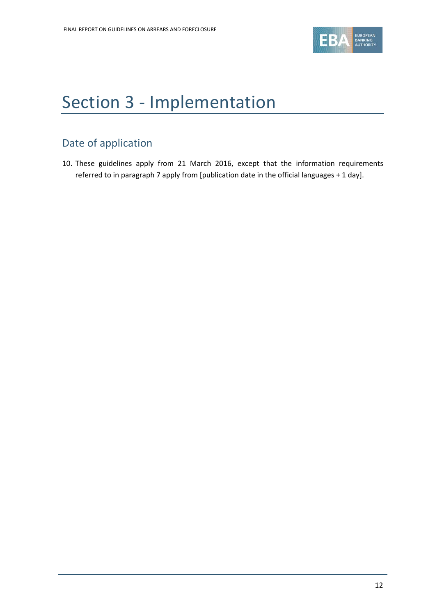

# <span id="page-11-0"></span>Section 3 - Implementation

## Date of application

10. These guidelines apply from 21 March 2016, except that the information requirements referred to in paragraph 7 apply from [publication date in the official languages + 1 day].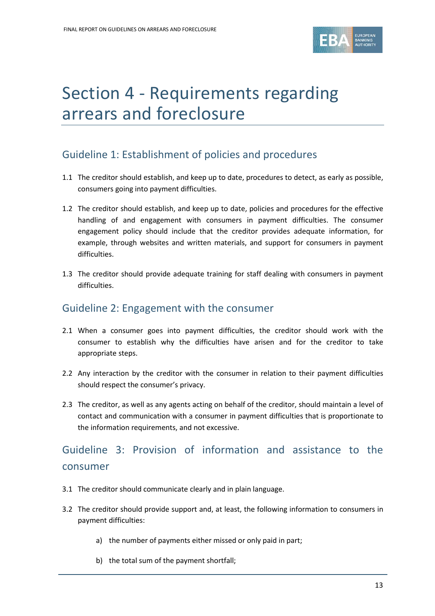

# <span id="page-12-0"></span>Section 4 - Requirements regarding arrears and foreclosure

## Guideline 1: Establishment of policies and procedures

- 1.1 The creditor should establish, and keep up to date, procedures to detect, as early as possible, consumers going into payment difficulties.
- 1.2 The creditor should establish, and keep up to date, policies and procedures for the effective handling of and engagement with consumers in payment difficulties. The consumer engagement policy should include that the creditor provides adequate information, for example, through websites and written materials, and support for consumers in payment difficulties.
- 1.3 The creditor should provide adequate training for staff dealing with consumers in payment difficulties.

### Guideline 2: Engagement with the consumer

- 2.1 When a consumer goes into payment difficulties, the creditor should work with the consumer to establish why the difficulties have arisen and for the creditor to take appropriate steps.
- 2.2 Any interaction by the creditor with the consumer in relation to their payment difficulties should respect the consumer's privacy.
- 2.3 The creditor, as well as any agents acting on behalf of the creditor, should maintain a level of contact and communication with a consumer in payment difficulties that is proportionate to the information requirements, and not excessive.

## Guideline 3: Provision of information and assistance to the consumer

- 3.1 The creditor should communicate clearly and in plain language.
- 3.2 The creditor should provide support and, at least, the following information to consumers in payment difficulties:
	- a) the number of payments either missed or only paid in part;
	- b) the total sum of the payment shortfall;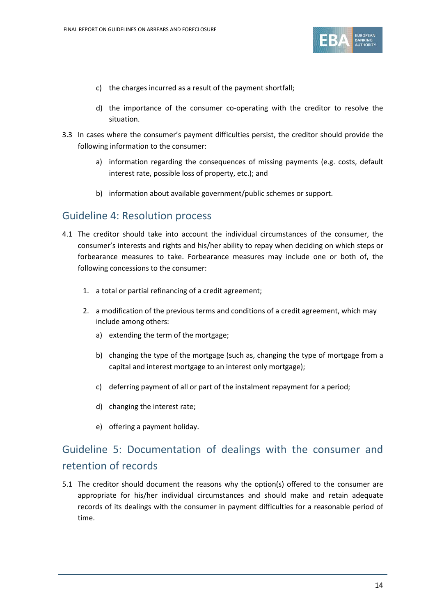

- c) the charges incurred as a result of the payment shortfall;
- d) the importance of the consumer co-operating with the creditor to resolve the situation.
- 3.3 In cases where the consumer's payment difficulties persist, the creditor should provide the following information to the consumer:
	- a) information regarding the consequences of missing payments (e.g. costs, default interest rate, possible loss of property, etc.); and
	- b) information about available government/public schemes or support.

### Guideline 4: Resolution process

- 4.1 The creditor should take into account the individual circumstances of the consumer, the consumer's interests and rights and his/her ability to repay when deciding on which steps or forbearance measures to take. Forbearance measures may include one or both of, the following concessions to the consumer:
	- 1. a total or partial refinancing of a credit agreement;
	- 2. a modification of the previous terms and conditions of a credit agreement, which may include among others:
		- a) extending the term of the mortgage;
		- b) changing the type of the mortgage (such as, changing the type of mortgage from a capital and interest mortgage to an interest only mortgage);
		- c) deferring payment of all or part of the instalment repayment for a period;
		- d) changing the interest rate;
		- e) offering a payment holiday.

## Guideline 5: Documentation of dealings with the consumer and retention of records

5.1 The creditor should document the reasons why the option(s) offered to the consumer are appropriate for his/her individual circumstances and should make and retain adequate records of its dealings with the consumer in payment difficulties for a reasonable period of time.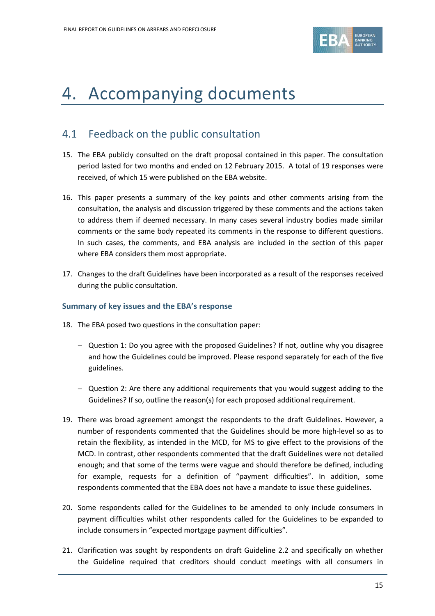

# <span id="page-14-0"></span>4. Accompanying documents

### <span id="page-14-1"></span>4.1 Feedback on the public consultation

- 15. The EBA publicly consulted on the draft proposal contained in this paper. The consultation period lasted for two months and ended on 12 February 2015. A total of 19 responses were received, of which 15 were published on the EBA website.
- 16. This paper presents a summary of the key points and other comments arising from the consultation, the analysis and discussion triggered by these comments and the actions taken to address them if deemed necessary. In many cases several industry bodies made similar comments or the same body repeated its comments in the response to different questions. In such cases, the comments, and EBA analysis are included in the section of this paper where EBA considers them most appropriate.
- 17. Changes to the draft Guidelines have been incorporated as a result of the responses received during the public consultation.

#### **Summary of key issues and the EBA's response**

- 18. The EBA posed two questions in the consultation paper:
	- − Question 1: Do you agree with the proposed Guidelines? If not, outline why you disagree and how the Guidelines could be improved. Please respond separately for each of the five guidelines.
	- − Question 2: Are there any additional requirements that you would suggest adding to the Guidelines? If so, outline the reason(s) for each proposed additional requirement.
- 19. There was broad agreement amongst the respondents to the draft Guidelines. However, a number of respondents commented that the Guidelines should be more high-level so as to retain the flexibility, as intended in the MCD, for MS to give effect to the provisions of the MCD. In contrast, other respondents commented that the draft Guidelines were not detailed enough; and that some of the terms were vague and should therefore be defined, including for example, requests for a definition of "payment difficulties". In addition, some respondents commented that the EBA does not have a mandate to issue these guidelines.
- 20. Some respondents called for the Guidelines to be amended to only include consumers in payment difficulties whilst other respondents called for the Guidelines to be expanded to include consumers in "expected mortgage payment difficulties".
- 21. Clarification was sought by respondents on draft Guideline 2.2 and specifically on whether the Guideline required that creditors should conduct meetings with all consumers in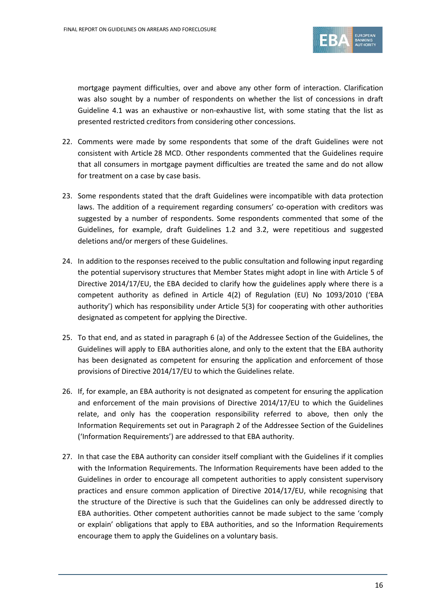

mortgage payment difficulties, over and above any other form of interaction. Clarification was also sought by a number of respondents on whether the list of concessions in draft Guideline 4.1 was an exhaustive or non-exhaustive list, with some stating that the list as presented restricted creditors from considering other concessions.

- 22. Comments were made by some respondents that some of the draft Guidelines were not consistent with Article 28 MCD. Other respondents commented that the Guidelines require that all consumers in mortgage payment difficulties are treated the same and do not allow for treatment on a case by case basis.
- 23. Some respondents stated that the draft Guidelines were incompatible with data protection laws. The addition of a requirement regarding consumers' co-operation with creditors was suggested by a number of respondents. Some respondents commented that some of the Guidelines, for example, draft Guidelines 1.2 and 3.2, were repetitious and suggested deletions and/or mergers of these Guidelines.
- 24. In addition to the responses received to the public consultation and following input regarding the potential supervisory structures that Member States might adopt in line with Article 5 of Directive 2014/17/EU, the EBA decided to clarify how the guidelines apply where there is a competent authority as defined in Article 4(2) of Regulation (EU) No 1093/2010 ('EBA authority') which has responsibility under Article 5(3) for cooperating with other authorities designated as competent for applying the Directive.
- 25. To that end, and as stated in paragraph 6 (a) of the Addressee Section of the Guidelines, the Guidelines will apply to EBA authorities alone, and only to the extent that the EBA authority has been designated as competent for ensuring the application and enforcement of those provisions of Directive 2014/17/EU to which the Guidelines relate.
- 26. If, for example, an EBA authority is not designated as competent for ensuring the application and enforcement of the main provisions of Directive 2014/17/EU to which the Guidelines relate, and only has the cooperation responsibility referred to above, then only the Information Requirements set out in Paragraph 2 of the Addressee Section of the Guidelines ('Information Requirements') are addressed to that EBA authority.
- 27. In that case the EBA authority can consider itself compliant with the Guidelines if it complies with the Information Requirements. The Information Requirements have been added to the Guidelines in order to encourage all competent authorities to apply consistent supervisory practices and ensure common application of Directive 2014/17/EU, while recognising that the structure of the Directive is such that the Guidelines can only be addressed directly to EBA authorities. Other competent authorities cannot be made subject to the same 'comply or explain' obligations that apply to EBA authorities, and so the Information Requirements encourage them to apply the Guidelines on a voluntary basis.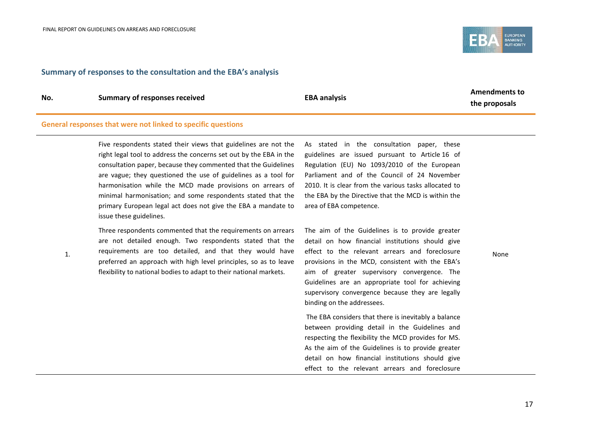

#### **Summary of responses to the consultation and the EBA's analysis**

1.

**No. Summary of responses received EBA analysis**

**Amendments to the proposals**

#### **General responses that were not linked to specific questions**

Five respondents stated their views that guidelines are not the right legal tool to address the concerns set out by the EBA in the consultation paper, because they commented that the Guidelines are vague; they questioned the use of guidelines as a tool for harmonisation while the MCD made provisions on arrears of minimal harmonisation; and some respondents stated that the primary European legal act does not give the EBA a mandate to issue these guidelines.

Three respondents commented that the requirements on arrears

are not detailed enough. Two respondents stated that the requirements are too detailed, and that they would have preferred an approach with high level principles, so as to leave flexibility to national bodies to adapt to their national markets.

As stated in the consultation paper, these guidelines are issued pursuant to Article 16 of Regulation (EU) No 1093/2010 of the European Parliament and of the Council of 24 November 2010. It is clear from the various tasks allocated to the EBA by the Directive that the MCD is within the area of EBA competence.

The aim of the Guidelines is to provide greater detail on how financial institutions should give effect to the relevant arrears and foreclosure provisions in the MCD, consistent with the EBA's aim of greater supervisory convergence. The Guidelines are an appropriate tool for achieving supervisory convergence because they are legally binding on the addressees.

The EBA considers that there is inevitably a balance between providing detail in the Guidelines and respecting the flexibility the MCD provides for MS. As the aim of the Guidelines is to provide greater detail on how financial institutions should give effect to the relevant arrears and foreclosure None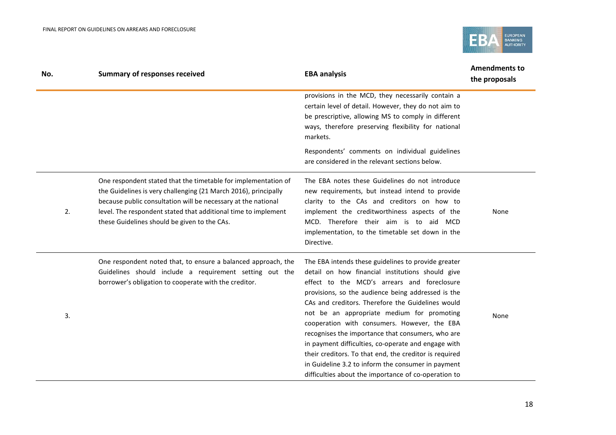

| No. | <b>Summary of responses received</b>                                                                                                                                                                                                                                                                                 | <b>EBA analysis</b>                                                                                                                                                                                                                                                                                                                                                                                                                                                                                                                                                                                                                                 | <b>Amendments to</b><br>the proposals |
|-----|----------------------------------------------------------------------------------------------------------------------------------------------------------------------------------------------------------------------------------------------------------------------------------------------------------------------|-----------------------------------------------------------------------------------------------------------------------------------------------------------------------------------------------------------------------------------------------------------------------------------------------------------------------------------------------------------------------------------------------------------------------------------------------------------------------------------------------------------------------------------------------------------------------------------------------------------------------------------------------------|---------------------------------------|
|     |                                                                                                                                                                                                                                                                                                                      | provisions in the MCD, they necessarily contain a<br>certain level of detail. However, they do not aim to<br>be prescriptive, allowing MS to comply in different<br>ways, therefore preserving flexibility for national<br>markets.                                                                                                                                                                                                                                                                                                                                                                                                                 |                                       |
|     |                                                                                                                                                                                                                                                                                                                      | Respondents' comments on individual guidelines<br>are considered in the relevant sections below.                                                                                                                                                                                                                                                                                                                                                                                                                                                                                                                                                    |                                       |
| 2.  | One respondent stated that the timetable for implementation of<br>the Guidelines is very challenging (21 March 2016), principally<br>because public consultation will be necessary at the national<br>level. The respondent stated that additional time to implement<br>these Guidelines should be given to the CAs. | The EBA notes these Guidelines do not introduce<br>new requirements, but instead intend to provide<br>clarity to the CAs and creditors on how to<br>implement the creditworthiness aspects of the<br>MCD. Therefore their aim is to aid MCD<br>implementation, to the timetable set down in the<br>Directive.                                                                                                                                                                                                                                                                                                                                       | None                                  |
| 3.  | One respondent noted that, to ensure a balanced approach, the<br>Guidelines should include a requirement setting out the<br>borrower's obligation to cooperate with the creditor.                                                                                                                                    | The EBA intends these guidelines to provide greater<br>detail on how financial institutions should give<br>effect to the MCD's arrears and foreclosure<br>provisions, so the audience being addressed is the<br>CAs and creditors. Therefore the Guidelines would<br>not be an appropriate medium for promoting<br>cooperation with consumers. However, the EBA<br>recognises the importance that consumers, who are<br>in payment difficulties, co-operate and engage with<br>their creditors. To that end, the creditor is required<br>in Guideline 3.2 to inform the consumer in payment<br>difficulties about the importance of co-operation to | None                                  |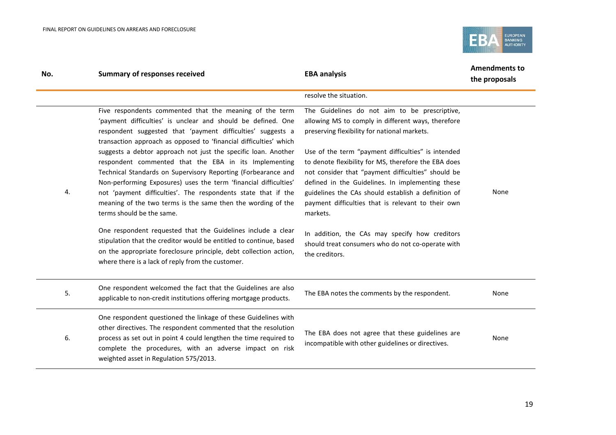

| No. | <b>Summary of responses received</b>                                                                                                                                                                                                                                                                                                                                                                                       | <b>EBA analysis</b>                                                                                                                                                                                                                                                                                                                           | <b>Amendments to</b><br>the proposals |
|-----|----------------------------------------------------------------------------------------------------------------------------------------------------------------------------------------------------------------------------------------------------------------------------------------------------------------------------------------------------------------------------------------------------------------------------|-----------------------------------------------------------------------------------------------------------------------------------------------------------------------------------------------------------------------------------------------------------------------------------------------------------------------------------------------|---------------------------------------|
|     |                                                                                                                                                                                                                                                                                                                                                                                                                            | resolve the situation.                                                                                                                                                                                                                                                                                                                        |                                       |
|     | Five respondents commented that the meaning of the term<br>'payment difficulties' is unclear and should be defined. One<br>respondent suggested that 'payment difficulties' suggests a<br>transaction approach as opposed to 'financial difficulties' which                                                                                                                                                                | The Guidelines do not aim to be prescriptive,<br>allowing MS to comply in different ways, therefore<br>preserving flexibility for national markets.                                                                                                                                                                                           |                                       |
| 4.  | suggests a debtor approach not just the specific loan. Another<br>respondent commented that the EBA in its Implementing<br>Technical Standards on Supervisory Reporting (Forbearance and<br>Non-performing Exposures) uses the term 'financial difficulties'<br>not 'payment difficulties'. The respondents state that if the<br>meaning of the two terms is the same then the wording of the<br>terms should be the same. | Use of the term "payment difficulties" is intended<br>to denote flexibility for MS, therefore the EBA does<br>not consider that "payment difficulties" should be<br>defined in the Guidelines. In implementing these<br>guidelines the CAs should establish a definition of<br>payment difficulties that is relevant to their own<br>markets. | None                                  |
|     | One respondent requested that the Guidelines include a clear<br>stipulation that the creditor would be entitled to continue, based<br>on the appropriate foreclosure principle, debt collection action,<br>where there is a lack of reply from the customer.                                                                                                                                                               | In addition, the CAs may specify how creditors<br>should treat consumers who do not co-operate with<br>the creditors.                                                                                                                                                                                                                         |                                       |
| 5.  | One respondent welcomed the fact that the Guidelines are also<br>applicable to non-credit institutions offering mortgage products.                                                                                                                                                                                                                                                                                         | The EBA notes the comments by the respondent.                                                                                                                                                                                                                                                                                                 | None                                  |
| 6.  | One respondent questioned the linkage of these Guidelines with<br>other directives. The respondent commented that the resolution<br>process as set out in point 4 could lengthen the time required to<br>complete the procedures, with an adverse impact on risk<br>weighted asset in Regulation 575/2013.                                                                                                                 | The EBA does not agree that these guidelines are<br>incompatible with other guidelines or directives.                                                                                                                                                                                                                                         | None                                  |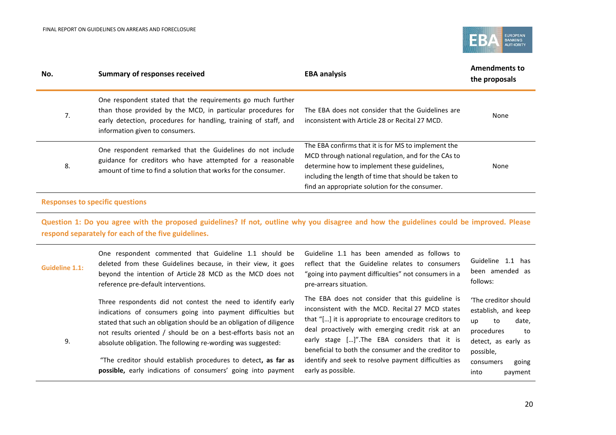

| No. | <b>Summary of responses received</b>                                                                                                                                                                                               | <b>EBA analysis</b>                                                                                                                                                                                                                                                  | <b>Amendments to</b><br>the proposals |
|-----|------------------------------------------------------------------------------------------------------------------------------------------------------------------------------------------------------------------------------------|----------------------------------------------------------------------------------------------------------------------------------------------------------------------------------------------------------------------------------------------------------------------|---------------------------------------|
| 7.  | One respondent stated that the requirements go much further<br>than those provided by the MCD, in particular procedures for<br>early detection, procedures for handling, training of staff, and<br>information given to consumers. | The EBA does not consider that the Guidelines are<br>inconsistent with Article 28 or Recital 27 MCD.                                                                                                                                                                 | None                                  |
| 8.  | One respondent remarked that the Guidelines do not include<br>guidance for creditors who have attempted for a reasonable<br>amount of time to find a solution that works for the consumer.                                         | The EBA confirms that it is for MS to implement the<br>MCD through national regulation, and for the CAs to<br>determine how to implement these guidelines,<br>including the length of time that should be taken to<br>find an appropriate solution for the consumer. | None                                  |

### **Responses to specific questions**

**Question 1: Do you agree with the proposed guidelines? If not, outline why you disagree and how the guidelines could be improved. Please respond separately for each of the five guidelines.**

| <b>Guideline 1.1:</b> | One respondent commented that Guideline 1.1 should be<br>deleted from these Guidelines because, in their view, it goes<br>beyond the intention of Article 28 MCD as the MCD does not<br>reference pre-default interventions.                                                                                                                                                                                                                                             | Guideline 1.1 has been amended as follows to<br>reflect that the Guideline relates to consumers<br>"going into payment difficulties" not consumers in a<br>pre-arrears situation.                                                                                                                                                                                                                      | Guideline 1.1 has<br>been amended as<br>follows:                                                                                                                  |
|-----------------------|--------------------------------------------------------------------------------------------------------------------------------------------------------------------------------------------------------------------------------------------------------------------------------------------------------------------------------------------------------------------------------------------------------------------------------------------------------------------------|--------------------------------------------------------------------------------------------------------------------------------------------------------------------------------------------------------------------------------------------------------------------------------------------------------------------------------------------------------------------------------------------------------|-------------------------------------------------------------------------------------------------------------------------------------------------------------------|
| 9.                    | Three respondents did not contest the need to identify early<br>indications of consumers going into payment difficulties but<br>stated that such an obligation should be an obligation of diligence<br>not results oriented / should be on a best-efforts basis not an<br>absolute obligation. The following re-wording was suggested:<br>"The creditor should establish procedures to detect, as far as<br>possible, early indications of consumers' going into payment | The EBA does not consider that this guideline is<br>inconsistent with the MCD. Recital 27 MCD states<br>that "[] it is appropriate to encourage creditors to<br>deal proactively with emerging credit risk at an<br>early stage []". The EBA considers that it is<br>beneficial to both the consumer and the creditor to<br>identify and seek to resolve payment difficulties as<br>early as possible. | 'The creditor should<br>establish, and keep<br>date,<br>to<br>up<br>procedures<br>to<br>detect, as early as<br>possible,<br>going<br>consumers<br>into<br>payment |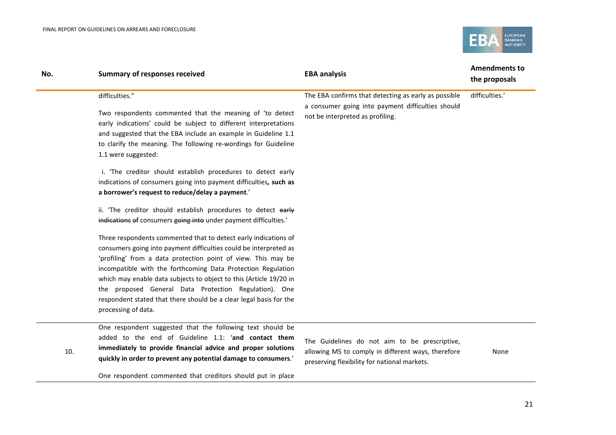

| No. | <b>Summary of responses received</b>                                                                                                                                                                                                                                                                                                                                                                                                                                                              | <b>EBA analysis</b>                                                                                                                                | <b>Amendments to</b><br>the proposals |
|-----|---------------------------------------------------------------------------------------------------------------------------------------------------------------------------------------------------------------------------------------------------------------------------------------------------------------------------------------------------------------------------------------------------------------------------------------------------------------------------------------------------|----------------------------------------------------------------------------------------------------------------------------------------------------|---------------------------------------|
|     | difficulties."<br>Two respondents commented that the meaning of 'to detect<br>early indications' could be subject to different interpretations<br>and suggested that the EBA include an example in Guideline 1.1<br>to clarify the meaning. The following re-wordings for Guideline<br>1.1 were suggested:                                                                                                                                                                                        | The EBA confirms that detecting as early as possible<br>a consumer going into payment difficulties should<br>not be interpreted as profiling.      | difficulties.'                        |
|     | i. 'The creditor should establish procedures to detect early<br>indications of consumers going into payment difficulties, such as<br>a borrower's request to reduce/delay a payment.'                                                                                                                                                                                                                                                                                                             |                                                                                                                                                    |                                       |
|     | ii. 'The creditor should establish procedures to detect early<br>indications of consumers going into under payment difficulties.'                                                                                                                                                                                                                                                                                                                                                                 |                                                                                                                                                    |                                       |
|     | Three respondents commented that to detect early indications of<br>consumers going into payment difficulties could be interpreted as<br>'profiling' from a data protection point of view. This may be<br>incompatible with the forthcoming Data Protection Regulation<br>which may enable data subjects to object to this (Article 19/20 in<br>the proposed General Data Protection Regulation). One<br>respondent stated that there should be a clear legal basis for the<br>processing of data. |                                                                                                                                                    |                                       |
| 10. | One respondent suggested that the following text should be<br>added to the end of Guideline 1.1: 'and contact them<br>immediately to provide financial advice and proper solutions<br>quickly in order to prevent any potential damage to consumers.'                                                                                                                                                                                                                                             | The Guidelines do not aim to be prescriptive,<br>allowing MS to comply in different ways, therefore<br>processing flexibility for pational markets | None                                  |

preserving flexibility for national markets.

One respondent commented that creditors should put in place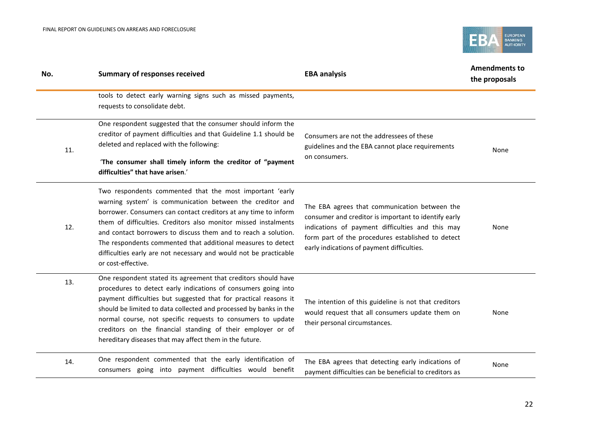

| No. | <b>Summary of responses received</b>                                                                                                                                                                                                                                                                                                                                                                                                                                                     | <b>EBA analysis</b>                                                                                                                                                                                                                                          | <b>Amendments to</b><br>the proposals |
|-----|------------------------------------------------------------------------------------------------------------------------------------------------------------------------------------------------------------------------------------------------------------------------------------------------------------------------------------------------------------------------------------------------------------------------------------------------------------------------------------------|--------------------------------------------------------------------------------------------------------------------------------------------------------------------------------------------------------------------------------------------------------------|---------------------------------------|
|     | tools to detect early warning signs such as missed payments,<br>requests to consolidate debt.                                                                                                                                                                                                                                                                                                                                                                                            |                                                                                                                                                                                                                                                              |                                       |
| 11. | One respondent suggested that the consumer should inform the<br>creditor of payment difficulties and that Guideline 1.1 should be<br>deleted and replaced with the following:<br>'The consumer shall timely inform the creditor of "payment<br>difficulties" that have arisen.'                                                                                                                                                                                                          | Consumers are not the addressees of these<br>guidelines and the EBA cannot place requirements<br>on consumers.                                                                                                                                               | None                                  |
| 12. | Two respondents commented that the most important 'early<br>warning system' is communication between the creditor and<br>borrower. Consumers can contact creditors at any time to inform<br>them of difficulties. Creditors also monitor missed instalments<br>and contact borrowers to discuss them and to reach a solution.<br>The respondents commented that additional measures to detect<br>difficulties early are not necessary and would not be practicable<br>or cost-effective. | The EBA agrees that communication between the<br>consumer and creditor is important to identify early<br>indications of payment difficulties and this may<br>form part of the procedures established to detect<br>early indications of payment difficulties. | None                                  |
| 13. | One respondent stated its agreement that creditors should have<br>procedures to detect early indications of consumers going into<br>payment difficulties but suggested that for practical reasons it<br>should be limited to data collected and processed by banks in the<br>normal course, not specific requests to consumers to update<br>creditors on the financial standing of their employer or of<br>hereditary diseases that may affect them in the future.                       | The intention of this guideline is not that creditors<br>would request that all consumers update them on<br>their personal circumstances.                                                                                                                    | None                                  |
| 14. | One respondent commented that the early identification of<br>consumers going into payment difficulties would benefit                                                                                                                                                                                                                                                                                                                                                                     | The EBA agrees that detecting early indications of<br>payment difficulties can be beneficial to creditors as                                                                                                                                                 | None                                  |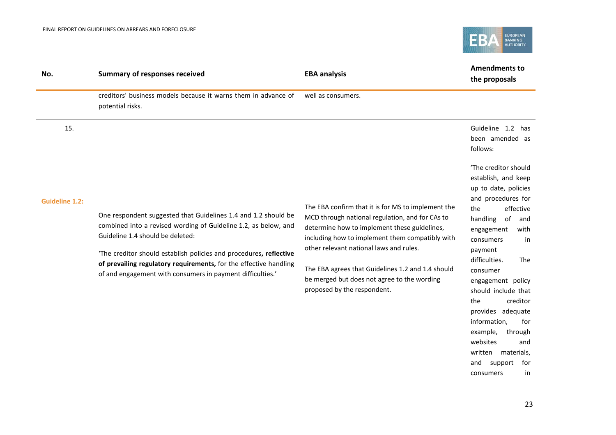

| No.                   | <b>Summary of responses received</b>                                                                                                                                                                                                                                                                                                                                           | <b>EBA analysis</b>                                                                                                                                                                                                                                                                                                                                                                    | <b>Amendments to</b><br>the proposals                                                                                                                                                                                                                                                                                                                                                                                                                           |
|-----------------------|--------------------------------------------------------------------------------------------------------------------------------------------------------------------------------------------------------------------------------------------------------------------------------------------------------------------------------------------------------------------------------|----------------------------------------------------------------------------------------------------------------------------------------------------------------------------------------------------------------------------------------------------------------------------------------------------------------------------------------------------------------------------------------|-----------------------------------------------------------------------------------------------------------------------------------------------------------------------------------------------------------------------------------------------------------------------------------------------------------------------------------------------------------------------------------------------------------------------------------------------------------------|
|                       | creditors' business models because it warns them in advance of<br>potential risks.                                                                                                                                                                                                                                                                                             | well as consumers.                                                                                                                                                                                                                                                                                                                                                                     |                                                                                                                                                                                                                                                                                                                                                                                                                                                                 |
| 15.                   |                                                                                                                                                                                                                                                                                                                                                                                |                                                                                                                                                                                                                                                                                                                                                                                        | Guideline 1.2 has<br>been amended as<br>follows:                                                                                                                                                                                                                                                                                                                                                                                                                |
| <b>Guideline 1.2:</b> | One respondent suggested that Guidelines 1.4 and 1.2 should be<br>combined into a revised wording of Guideline 1.2, as below, and<br>Guideline 1.4 should be deleted:<br>'The creditor should establish policies and procedures, reflective<br>of prevailing regulatory requirements, for the effective handling<br>of and engagement with consumers in payment difficulties.' | The EBA confirm that it is for MS to implement the<br>MCD through national regulation, and for CAs to<br>determine how to implement these guidelines,<br>including how to implement them compatibly with<br>other relevant national laws and rules.<br>The EBA agrees that Guidelines 1.2 and 1.4 should<br>be merged but does not agree to the wording<br>proposed by the respondent. | 'The creditor should<br>establish, and keep<br>up to date, policies<br>and procedures for<br>effective<br>the<br>handling<br>of<br>and<br>with<br>engagement<br>consumers<br>in<br>payment<br>difficulties.<br><b>The</b><br>consumer<br>engagement policy<br>should include that<br>creditor<br>the<br>provides adequate<br>information,<br>for<br>example,<br>through<br>websites<br>and<br>written<br>materials,<br>and<br>support<br>for<br>consumers<br>in |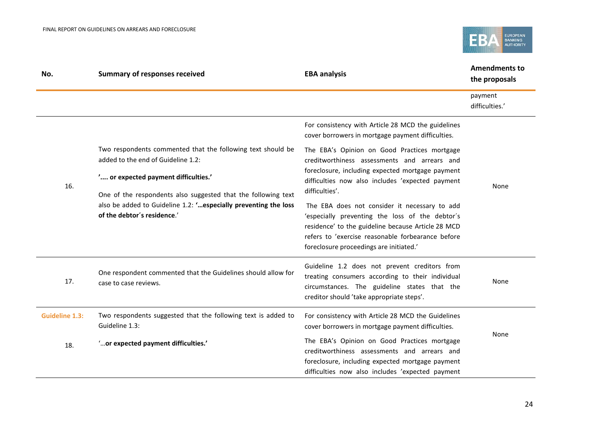

| No.                   | <b>Summary of responses received</b>                                                                                                                             | <b>EBA analysis</b>                                                                                                                                                                                                                                    | <b>Amendments to</b><br>the proposals |
|-----------------------|------------------------------------------------------------------------------------------------------------------------------------------------------------------|--------------------------------------------------------------------------------------------------------------------------------------------------------------------------------------------------------------------------------------------------------|---------------------------------------|
|                       |                                                                                                                                                                  |                                                                                                                                                                                                                                                        | payment<br>difficulties.'             |
|                       |                                                                                                                                                                  | For consistency with Article 28 MCD the guidelines<br>cover borrowers in mortgage payment difficulties.                                                                                                                                                |                                       |
|                       | Two respondents commented that the following text should be<br>added to the end of Guideline 1.2:                                                                | The EBA's Opinion on Good Practices mortgage<br>creditworthiness assessments and arrears and                                                                                                                                                           |                                       |
| 16.                   | ' or expected payment difficulties.'                                                                                                                             | foreclosure, including expected mortgage payment<br>difficulties now also includes 'expected payment<br>difficulties'.                                                                                                                                 | None                                  |
|                       | One of the respondents also suggested that the following text<br>also be added to Guideline 1.2: ' especially preventing the loss<br>of the debtor's residence.' | The EBA does not consider it necessary to add<br>'especially preventing the loss of the debtor's<br>residence' to the guideline because Article 28 MCD<br>refers to 'exercise reasonable forbearance before<br>foreclosure proceedings are initiated.' |                                       |
| 17.                   | One respondent commented that the Guidelines should allow for<br>case to case reviews.                                                                           | Guideline 1.2 does not prevent creditors from<br>treating consumers according to their individual<br>circumstances. The guideline states that the<br>creditor should 'take appropriate steps'.                                                         | None                                  |
| <b>Guideline 1.3:</b> | Two respondents suggested that the following text is added to<br>Guideline 1.3:                                                                                  | For consistency with Article 28 MCD the Guidelines<br>cover borrowers in mortgage payment difficulties.                                                                                                                                                |                                       |
| 18.                   | " or expected payment difficulties."                                                                                                                             | The EBA's Opinion on Good Practices mortgage<br>creditworthiness assessments and arrears and<br>foreclosure, including expected mortgage payment<br>difficulties now also includes 'expected payment                                                   | None                                  |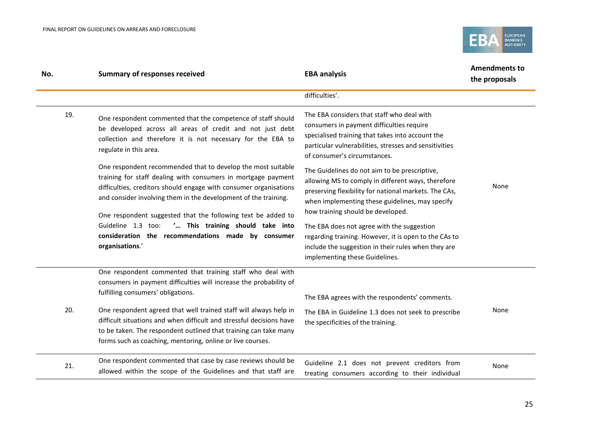

| No. | <b>Summary of responses received</b>                                                                                                                                                                                                                                                                                                                | <b>EBA analysis</b>                                                                                                                                                                                                                                                                    | <b>Amendments to</b><br>the proposals |
|-----|-----------------------------------------------------------------------------------------------------------------------------------------------------------------------------------------------------------------------------------------------------------------------------------------------------------------------------------------------------|----------------------------------------------------------------------------------------------------------------------------------------------------------------------------------------------------------------------------------------------------------------------------------------|---------------------------------------|
|     |                                                                                                                                                                                                                                                                                                                                                     | difficulties'.                                                                                                                                                                                                                                                                         |                                       |
| 19. | One respondent commented that the competence of staff should<br>be developed across all areas of credit and not just debt<br>collection and therefore it is not necessary for the EBA to<br>regulate in this area.<br>One respondent recommended that to develop the most suitable<br>training for staff dealing with consumers in mortgage payment | The EBA considers that staff who deal with<br>consumers in payment difficulties require<br>specialised training that takes into account the<br>particular vulnerabilities, stresses and sensitivities<br>of consumer's circumstances.<br>The Guidelines do not aim to be prescriptive, |                                       |
|     | difficulties, creditors should engage with consumer organisations<br>and consider involving them in the development of the training.<br>One respondent suggested that the following text be added to<br>' This training should take into<br>Guideline 1.3 too:                                                                                      | allowing MS to comply in different ways, therefore<br>preserving flexibility for national markets. The CAs,<br>when implementing these guidelines, may specify<br>how training should be developed.<br>The EBA does not agree with the suggestion                                      | None                                  |
|     | consideration the recommendations made by consumer<br>organisations.'                                                                                                                                                                                                                                                                               | regarding training. However, it is open to the CAs to<br>include the suggestion in their rules when they are<br>implementing these Guidelines.                                                                                                                                         |                                       |
|     | One respondent commented that training staff who deal with<br>consumers in payment difficulties will increase the probability of<br>fulfilling consumers' obligations.                                                                                                                                                                              | The EBA agrees with the respondents' comments.                                                                                                                                                                                                                                         |                                       |
| 20. | One respondent agreed that well trained staff will always help in<br>difficult situations and when difficult and stressful decisions have<br>to be taken. The respondent outlined that training can take many<br>forms such as coaching, mentoring, online or live courses.                                                                         | The EBA in Guideline 1.3 does not seek to prescribe<br>the specificities of the training.                                                                                                                                                                                              | None                                  |
| 21. | One respondent commented that case by case reviews should be<br>allowed within the scope of the Guidelines and that staff are                                                                                                                                                                                                                       | Guideline 2.1 does not prevent creditors from<br>treating consumers according to their individual                                                                                                                                                                                      | None                                  |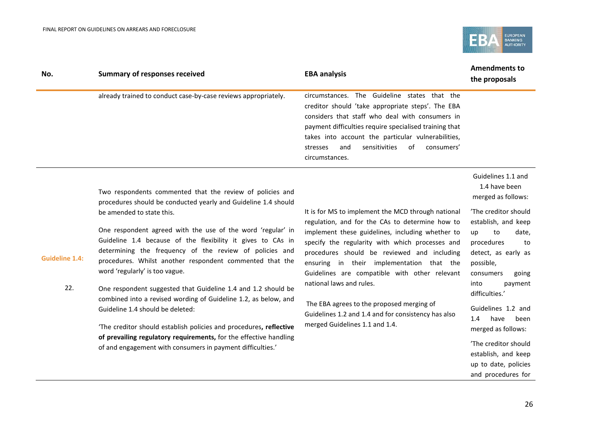**Guideline 1.4:**



| No. | <b>Summary of responses received</b>                           | <b>EBA analysis</b>                                                                                                                                                                                                                                                                                                                         | <b>Amendments to</b><br>the proposals |
|-----|----------------------------------------------------------------|---------------------------------------------------------------------------------------------------------------------------------------------------------------------------------------------------------------------------------------------------------------------------------------------------------------------------------------------|---------------------------------------|
|     | already trained to conduct case-by-case reviews appropriately. | circumstances. The Guideline states that the<br>creditor should 'take appropriate steps'. The EBA<br>considers that staff who deal with consumers in<br>payment difficulties require specialised training that<br>takes into account the particular vulnerabilities,<br>sensitivities of<br>consumers'<br>and<br>stresses<br>circumstances. |                                       |
|     |                                                                |                                                                                                                                                                                                                                                                                                                                             | Guidelines 1.1 and                    |

Two respondents commented that the review of policies and procedures should be conducted yearly and Guideline 1.4 should be amended to state this.

One respondent agreed with the use of the word 'regular' in Guideline 1.4 because of the flexibility it gives to CAs in determining the frequency of the review of policies and procedures. Whilst another respondent commented that the word 'regularly' is too vague.

22. One respondent suggested that Guideline 1.4 and 1.2 should be combined into a revised wording of Guideline 1.2, as below, and Guideline 1.4 should be deleted:

> 'The creditor should establish policies and procedures**, reflective of prevailing regulatory requirements,** for the effective handling of and engagement with consumers in payment difficulties.'

It is for MS to implement the MCD through national regulation, and for the CAs to determine how to implement these guidelines, including whether to specify the regularity with which processes and procedures should be reviewed and including ensuring in their implementation that the Guidelines are compatible with other relevant national laws and rules.

The EBA agrees to the proposed merging of Guidelines 1.2 and 1.4 and for consistency has also merged Guidelines 1.1 and 1.4.

1.4 have been merged as follows:

'The creditor should establish, and keep up to date, procedures to detect, as early as possible, consumers going into payment

Guidelines 1.2 and 1.4 have been merged as follows:

difficulties.'

'The creditor should establish, and keep up to date, policies and procedures for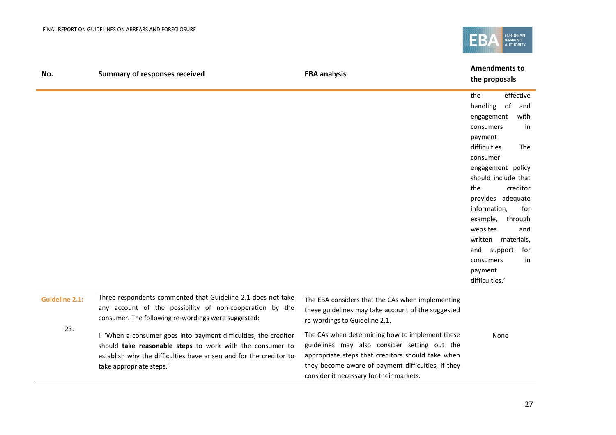

| No.                   | <b>Summary of responses received</b>                                                                                                                                                                                            | <b>EBA analysis</b>                                                                                                                                                                                                                                    | <b>Amendments to</b><br>the proposals                                                                                                                                                                                                                                                                                                                                                 |
|-----------------------|---------------------------------------------------------------------------------------------------------------------------------------------------------------------------------------------------------------------------------|--------------------------------------------------------------------------------------------------------------------------------------------------------------------------------------------------------------------------------------------------------|---------------------------------------------------------------------------------------------------------------------------------------------------------------------------------------------------------------------------------------------------------------------------------------------------------------------------------------------------------------------------------------|
|                       |                                                                                                                                                                                                                                 |                                                                                                                                                                                                                                                        | effective<br>the<br>handling<br>of<br>and<br>with<br>engagement<br>consumers<br>in<br>payment<br>difficulties.<br>The<br>consumer<br>engagement policy<br>should include that<br>creditor<br>the<br>provides adequate<br>information,<br>for<br>example,<br>through<br>websites<br>and<br>written materials,<br>and<br>support<br>for<br>consumers<br>in<br>payment<br>difficulties.' |
| <b>Guideline 2.1:</b> | Three respondents commented that Guideline 2.1 does not take<br>any account of the possibility of non-cooperation by the<br>consumer. The following re-wordings were suggested:                                                 | The EBA considers that the CAs when implementing<br>these guidelines may take account of the suggested<br>re-wordings to Guideline 2.1.                                                                                                                |                                                                                                                                                                                                                                                                                                                                                                                       |
| 23.                   | i. 'When a consumer goes into payment difficulties, the creditor<br>should take reasonable steps to work with the consumer to<br>establish why the difficulties have arisen and for the creditor to<br>take appropriate steps.' | The CAs when determining how to implement these<br>guidelines may also consider setting out the<br>appropriate steps that creditors should take when<br>they become aware of payment difficulties, if they<br>consider it necessary for their markets. | None                                                                                                                                                                                                                                                                                                                                                                                  |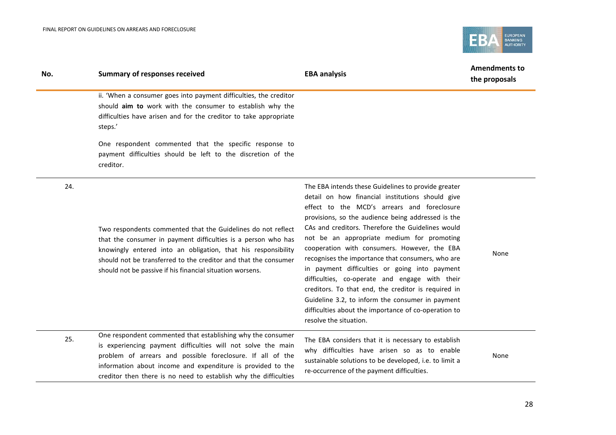

| No. | <b>Summary of responses received</b>                                                                                                                                                                                                                                                                                           | <b>EBA analysis</b>                                                                                                                                                                                                                                                                                                                                                                                                                                                                                                                                                                                                                                                                                                  | <b>Amendments to</b><br>the proposals |
|-----|--------------------------------------------------------------------------------------------------------------------------------------------------------------------------------------------------------------------------------------------------------------------------------------------------------------------------------|----------------------------------------------------------------------------------------------------------------------------------------------------------------------------------------------------------------------------------------------------------------------------------------------------------------------------------------------------------------------------------------------------------------------------------------------------------------------------------------------------------------------------------------------------------------------------------------------------------------------------------------------------------------------------------------------------------------------|---------------------------------------|
|     | ii. 'When a consumer goes into payment difficulties, the creditor<br>should aim to work with the consumer to establish why the<br>difficulties have arisen and for the creditor to take appropriate<br>steps.'                                                                                                                 |                                                                                                                                                                                                                                                                                                                                                                                                                                                                                                                                                                                                                                                                                                                      |                                       |
|     | One respondent commented that the specific response to<br>payment difficulties should be left to the discretion of the<br>creditor.                                                                                                                                                                                            |                                                                                                                                                                                                                                                                                                                                                                                                                                                                                                                                                                                                                                                                                                                      |                                       |
| 24. | Two respondents commented that the Guidelines do not reflect<br>that the consumer in payment difficulties is a person who has<br>knowingly entered into an obligation, that his responsibility<br>should not be transferred to the creditor and that the consumer<br>should not be passive if his financial situation worsens. | The EBA intends these Guidelines to provide greater<br>detail on how financial institutions should give<br>effect to the MCD's arrears and foreclosure<br>provisions, so the audience being addressed is the<br>CAs and creditors. Therefore the Guidelines would<br>not be an appropriate medium for promoting<br>cooperation with consumers. However, the EBA<br>recognises the importance that consumers, who are<br>in payment difficulties or going into payment<br>difficulties, co-operate and engage with their<br>creditors. To that end, the creditor is required in<br>Guideline 3.2, to inform the consumer in payment<br>difficulties about the importance of co-operation to<br>resolve the situation. | None                                  |
| 25. | One respondent commented that establishing why the consumer<br>is experiencing payment difficulties will not solve the main<br>problem of arrears and possible foreclosure. If all of the<br>information about income and expenditure is provided to the<br>creditor then there is no need to establish why the difficulties   | The EBA considers that it is necessary to establish<br>why difficulties have arisen so as to enable<br>sustainable solutions to be developed, i.e. to limit a<br>re-occurrence of the payment difficulties.                                                                                                                                                                                                                                                                                                                                                                                                                                                                                                          | None                                  |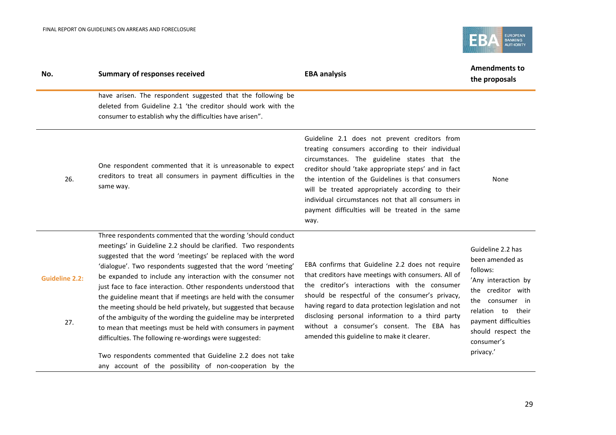

| No.                          | <b>Summary of responses received</b>                                                                                                                                                                                                                                                                                                                                                                                                                                                                                                                                                                                                                                                                                                                                                                                                                                 | <b>EBA analysis</b>                                                                                                                                                                                                                                                                                                                                                                                                                  | <b>Amendments to</b><br>the proposals                                                                                                                                                                         |
|------------------------------|----------------------------------------------------------------------------------------------------------------------------------------------------------------------------------------------------------------------------------------------------------------------------------------------------------------------------------------------------------------------------------------------------------------------------------------------------------------------------------------------------------------------------------------------------------------------------------------------------------------------------------------------------------------------------------------------------------------------------------------------------------------------------------------------------------------------------------------------------------------------|--------------------------------------------------------------------------------------------------------------------------------------------------------------------------------------------------------------------------------------------------------------------------------------------------------------------------------------------------------------------------------------------------------------------------------------|---------------------------------------------------------------------------------------------------------------------------------------------------------------------------------------------------------------|
|                              | have arisen. The respondent suggested that the following be<br>deleted from Guideline 2.1 'the creditor should work with the<br>consumer to establish why the difficulties have arisen".                                                                                                                                                                                                                                                                                                                                                                                                                                                                                                                                                                                                                                                                             |                                                                                                                                                                                                                                                                                                                                                                                                                                      |                                                                                                                                                                                                               |
| 26.                          | One respondent commented that it is unreasonable to expect<br>creditors to treat all consumers in payment difficulties in the<br>same way.                                                                                                                                                                                                                                                                                                                                                                                                                                                                                                                                                                                                                                                                                                                           | Guideline 2.1 does not prevent creditors from<br>treating consumers according to their individual<br>circumstances. The guideline states that the<br>creditor should 'take appropriate steps' and in fact<br>the intention of the Guidelines is that consumers<br>will be treated appropriately according to their<br>individual circumstances not that all consumers in<br>payment difficulties will be treated in the same<br>way. | None                                                                                                                                                                                                          |
| <b>Guideline 2.2:</b><br>27. | Three respondents commented that the wording 'should conduct<br>meetings' in Guideline 2.2 should be clarified. Two respondents<br>suggested that the word 'meetings' be replaced with the word<br>'dialogue'. Two respondents suggested that the word 'meeting'<br>be expanded to include any interaction with the consumer not<br>just face to face interaction. Other respondents understood that<br>the guideline meant that if meetings are held with the consumer<br>the meeting should be held privately, but suggested that because<br>of the ambiguity of the wording the guideline may be interpreted<br>to mean that meetings must be held with consumers in payment<br>difficulties. The following re-wordings were suggested:<br>Two respondents commented that Guideline 2.2 does not take<br>any account of the possibility of non-cooperation by the | EBA confirms that Guideline 2.2 does not require<br>that creditors have meetings with consumers. All of<br>the creditor's interactions with the consumer<br>should be respectful of the consumer's privacy,<br>having regard to data protection legislation and not<br>disclosing personal information to a third party<br>without a consumer's consent. The EBA has<br>amended this guideline to make it clearer.                   | Guideline 2.2 has<br>been amended as<br>follows:<br>'Any interaction by<br>the creditor with<br>the consumer in<br>relation to their<br>payment difficulties<br>should respect the<br>consumer's<br>privacy.' |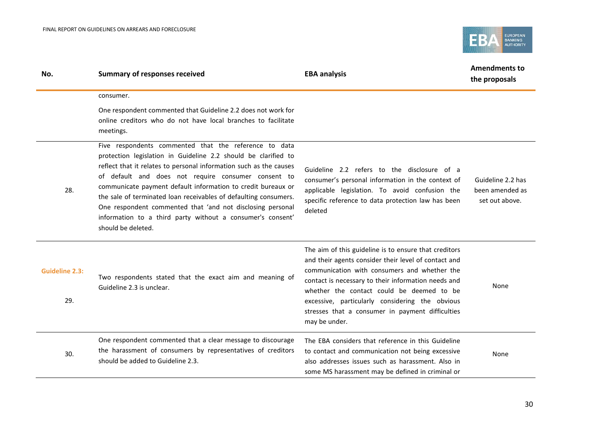

| No.                          | <b>Summary of responses received</b>                                                                                                                                                                                                                                                                                                                                                                                                                                                                                                       | <b>EBA analysis</b>                                                                                                                                                                                                                                                                                                                                                                       | <b>Amendments to</b><br>the proposals                  |
|------------------------------|--------------------------------------------------------------------------------------------------------------------------------------------------------------------------------------------------------------------------------------------------------------------------------------------------------------------------------------------------------------------------------------------------------------------------------------------------------------------------------------------------------------------------------------------|-------------------------------------------------------------------------------------------------------------------------------------------------------------------------------------------------------------------------------------------------------------------------------------------------------------------------------------------------------------------------------------------|--------------------------------------------------------|
|                              | consumer.                                                                                                                                                                                                                                                                                                                                                                                                                                                                                                                                  |                                                                                                                                                                                                                                                                                                                                                                                           |                                                        |
|                              | One respondent commented that Guideline 2.2 does not work for<br>online creditors who do not have local branches to facilitate<br>meetings.                                                                                                                                                                                                                                                                                                                                                                                                |                                                                                                                                                                                                                                                                                                                                                                                           |                                                        |
| 28.                          | Five respondents commented that the reference to data<br>protection legislation in Guideline 2.2 should be clarified to<br>reflect that it relates to personal information such as the causes<br>of default and does not require consumer consent to<br>communicate payment default information to credit bureaux or<br>the sale of terminated loan receivables of defaulting consumers.<br>One respondent commented that 'and not disclosing personal<br>information to a third party without a consumer's consent'<br>should be deleted. | Guideline 2.2 refers to the disclosure of a<br>consumer's personal information in the context of<br>applicable legislation. To avoid confusion the<br>specific reference to data protection law has been<br>deleted                                                                                                                                                                       | Guideline 2.2 has<br>been amended as<br>set out above. |
| <b>Guideline 2.3:</b><br>29. | Two respondents stated that the exact aim and meaning of<br>Guideline 2.3 is unclear.                                                                                                                                                                                                                                                                                                                                                                                                                                                      | The aim of this guideline is to ensure that creditors<br>and their agents consider their level of contact and<br>communication with consumers and whether the<br>contact is necessary to their information needs and<br>whether the contact could be deemed to be<br>excessive, particularly considering the obvious<br>stresses that a consumer in payment difficulties<br>may be under. | None                                                   |
| 30.                          | One respondent commented that a clear message to discourage<br>the harassment of consumers by representatives of creditors<br>should be added to Guideline 2.3.                                                                                                                                                                                                                                                                                                                                                                            | The EBA considers that reference in this Guideline<br>to contact and communication not being excessive<br>also addresses issues such as harassment. Also in<br>some MS harassment may be defined in criminal or                                                                                                                                                                           | None                                                   |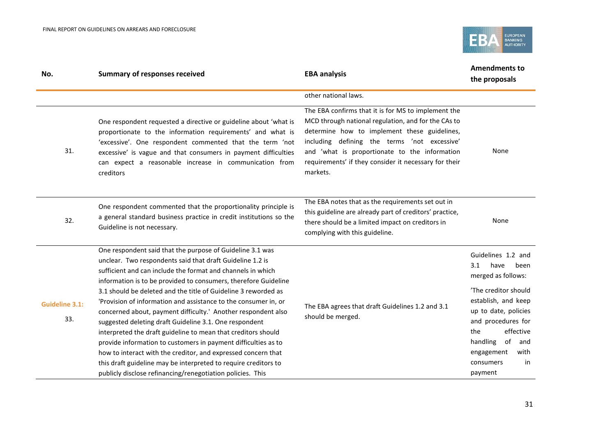

| No.                          | <b>Summary of responses received</b>                                                                                                                                                                                                                                                                                                                                                                                                                                                                                                                                                                                                                                                                                                                                                                                                                          | <b>EBA analysis</b>                                                                                                                                                                                                                                                                                                              | <b>Amendments to</b><br>the proposals                                                                                                                                                                                                                         |
|------------------------------|---------------------------------------------------------------------------------------------------------------------------------------------------------------------------------------------------------------------------------------------------------------------------------------------------------------------------------------------------------------------------------------------------------------------------------------------------------------------------------------------------------------------------------------------------------------------------------------------------------------------------------------------------------------------------------------------------------------------------------------------------------------------------------------------------------------------------------------------------------------|----------------------------------------------------------------------------------------------------------------------------------------------------------------------------------------------------------------------------------------------------------------------------------------------------------------------------------|---------------------------------------------------------------------------------------------------------------------------------------------------------------------------------------------------------------------------------------------------------------|
|                              |                                                                                                                                                                                                                                                                                                                                                                                                                                                                                                                                                                                                                                                                                                                                                                                                                                                               | other national laws.                                                                                                                                                                                                                                                                                                             |                                                                                                                                                                                                                                                               |
| 31.                          | One respondent requested a directive or guideline about 'what is<br>proportionate to the information requirements' and what is<br>'excessive'. One respondent commented that the term 'not<br>excessive' is vague and that consumers in payment difficulties<br>can expect a reasonable increase in communication from<br>creditors                                                                                                                                                                                                                                                                                                                                                                                                                                                                                                                           | The EBA confirms that it is for MS to implement the<br>MCD through national regulation, and for the CAs to<br>determine how to implement these guidelines,<br>including defining the terms 'not excessive'<br>and 'what is proportionate to the information<br>requirements' if they consider it necessary for their<br>markets. | None                                                                                                                                                                                                                                                          |
| 32.                          | One respondent commented that the proportionality principle is<br>a general standard business practice in credit institutions so the<br>Guideline is not necessary.                                                                                                                                                                                                                                                                                                                                                                                                                                                                                                                                                                                                                                                                                           | The EBA notes that as the requirements set out in<br>this guideline are already part of creditors' practice,<br>there should be a limited impact on creditors in<br>complying with this guideline.                                                                                                                               | None                                                                                                                                                                                                                                                          |
| <b>Guideline 3.1:</b><br>33. | One respondent said that the purpose of Guideline 3.1 was<br>unclear. Two respondents said that draft Guideline 1.2 is<br>sufficient and can include the format and channels in which<br>information is to be provided to consumers, therefore Guideline<br>3.1 should be deleted and the title of Guideline 3 reworded as<br>'Provision of information and assistance to the consumer in, or<br>concerned about, payment difficulty.' Another respondent also<br>suggested deleting draft Guideline 3.1. One respondent<br>interpreted the draft guideline to mean that creditors should<br>provide information to customers in payment difficulties as to<br>how to interact with the creditor, and expressed concern that<br>this draft guideline may be interpreted to require creditors to<br>publicly disclose refinancing/renegotiation policies. This | The EBA agrees that draft Guidelines 1.2 and 3.1<br>should be merged.                                                                                                                                                                                                                                                            | Guidelines 1.2 and<br>have<br>been<br>3.1<br>merged as follows:<br>'The creditor should<br>establish, and keep<br>up to date, policies<br>and procedures for<br>effective<br>the<br>handling<br>of<br>and<br>engagement<br>with<br>in<br>consumers<br>payment |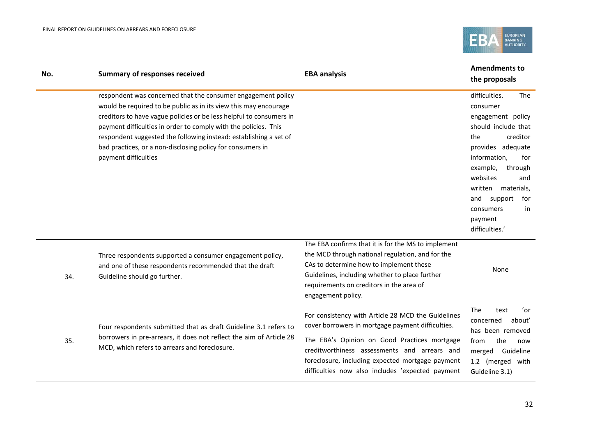

| No. | <b>Summary of responses received</b>                                                                                                                                                                                                                                                                                                                                                                                                  | <b>EBA analysis</b>                                                                                                                                                                                                                                                                                             | <b>Amendments to</b><br>the proposals                                                                                                                                                                                                                                                |
|-----|---------------------------------------------------------------------------------------------------------------------------------------------------------------------------------------------------------------------------------------------------------------------------------------------------------------------------------------------------------------------------------------------------------------------------------------|-----------------------------------------------------------------------------------------------------------------------------------------------------------------------------------------------------------------------------------------------------------------------------------------------------------------|--------------------------------------------------------------------------------------------------------------------------------------------------------------------------------------------------------------------------------------------------------------------------------------|
|     | respondent was concerned that the consumer engagement policy<br>would be required to be public as in its view this may encourage<br>creditors to have vague policies or be less helpful to consumers in<br>payment difficulties in order to comply with the policies. This<br>respondent suggested the following instead: establishing a set of<br>bad practices, or a non-disclosing policy for consumers in<br>payment difficulties |                                                                                                                                                                                                                                                                                                                 | difficulties.<br>The<br>consumer<br>engagement policy<br>should include that<br>creditor<br>the<br>provides adequate<br>information,<br>for<br>example,<br>through<br>websites<br>and<br>written materials,<br>and<br>support<br>for<br>in<br>consumers<br>payment<br>difficulties.' |
| 34. | Three respondents supported a consumer engagement policy,<br>and one of these respondents recommended that the draft<br>Guideline should go further.                                                                                                                                                                                                                                                                                  | The EBA confirms that it is for the MS to implement<br>the MCD through national regulation, and for the<br>CAs to determine how to implement these<br>Guidelines, including whether to place further<br>requirements on creditors in the area of<br>engagement policy.                                          | None                                                                                                                                                                                                                                                                                 |
| 35. | Four respondents submitted that as draft Guideline 3.1 refers to<br>borrowers in pre-arrears, it does not reflect the aim of Article 28<br>MCD, which refers to arrears and foreclosure.                                                                                                                                                                                                                                              | For consistency with Article 28 MCD the Guidelines<br>cover borrowers in mortgage payment difficulties.<br>The EBA's Opinion on Good Practices mortgage<br>creditworthiness assessments and arrears and<br>foreclosure, including expected mortgage payment<br>difficulties now also includes 'expected payment | 'or<br><b>The</b><br>text<br>concerned<br>about'<br>has been removed<br>the<br>from<br>now<br>merged Guideline<br>1.2 (merged with<br>Guideline 3.1)                                                                                                                                 |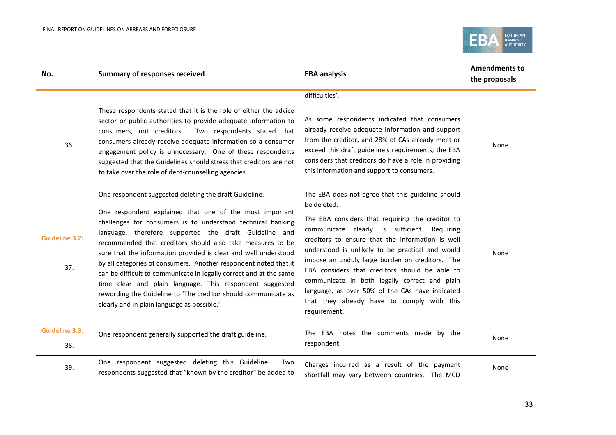

| No.                          | <b>Summary of responses received</b>                                                                                                                                                                                                                                                                                                                                                                                                                                                                                                                                                                                                                                                              | <b>EBA analysis</b>                                                                                                                                                                                                                                                                                                                                                                                                                                                                                                                                 | <b>Amendments to</b><br>the proposals |
|------------------------------|---------------------------------------------------------------------------------------------------------------------------------------------------------------------------------------------------------------------------------------------------------------------------------------------------------------------------------------------------------------------------------------------------------------------------------------------------------------------------------------------------------------------------------------------------------------------------------------------------------------------------------------------------------------------------------------------------|-----------------------------------------------------------------------------------------------------------------------------------------------------------------------------------------------------------------------------------------------------------------------------------------------------------------------------------------------------------------------------------------------------------------------------------------------------------------------------------------------------------------------------------------------------|---------------------------------------|
|                              |                                                                                                                                                                                                                                                                                                                                                                                                                                                                                                                                                                                                                                                                                                   | difficulties'.                                                                                                                                                                                                                                                                                                                                                                                                                                                                                                                                      |                                       |
| 36.                          | These respondents stated that it is the role of either the advice<br>sector or public authorities to provide adequate information to<br>Two respondents stated that<br>consumers, not creditors.<br>consumers already receive adequate information so a consumer<br>engagement policy is unnecessary. One of these respondents<br>suggested that the Guidelines should stress that creditors are not<br>to take over the role of debt-counselling agencies.                                                                                                                                                                                                                                       | As some respondents indicated that consumers<br>already receive adequate information and support<br>from the creditor, and 28% of CAs already meet or<br>exceed this draft guideline's requirements, the EBA<br>considers that creditors do have a role in providing<br>this information and support to consumers.                                                                                                                                                                                                                                  | None                                  |
| <b>Guideline 3.2:</b><br>37. | One respondent suggested deleting the draft Guideline.<br>One respondent explained that one of the most important<br>challenges for consumers is to understand technical banking<br>language, therefore supported the draft Guideline and<br>recommended that creditors should also take measures to be<br>sure that the information provided is clear and well understood<br>by all categories of consumers. Another respondent noted that it<br>can be difficult to communicate in legally correct and at the same<br>time clear and plain language. This respondent suggested<br>rewording the Guideline to 'The creditor should communicate as<br>clearly and in plain language as possible.' | The EBA does not agree that this guideline should<br>be deleted.<br>The EBA considers that requiring the creditor to<br>communicate clearly is sufficient. Requiring<br>creditors to ensure that the information is well<br>understood is unlikely to be practical and would<br>impose an unduly large burden on creditors. The<br>EBA considers that creditors should be able to<br>communicate in both legally correct and plain<br>language, as over 50% of the CAs have indicated<br>that they already have to comply with this<br>requirement. | None                                  |
| <b>Guideline 3.3:</b><br>38. | One respondent generally supported the draft guideline.                                                                                                                                                                                                                                                                                                                                                                                                                                                                                                                                                                                                                                           | The EBA notes the comments made by the<br>respondent.                                                                                                                                                                                                                                                                                                                                                                                                                                                                                               | None                                  |
| 39.                          | One respondent suggested deleting this Guideline.<br>Two<br>respondents suggested that "known by the creditor" be added to                                                                                                                                                                                                                                                                                                                                                                                                                                                                                                                                                                        | Charges incurred as a result of the payment<br>shortfall may vary between countries. The MCD                                                                                                                                                                                                                                                                                                                                                                                                                                                        | None                                  |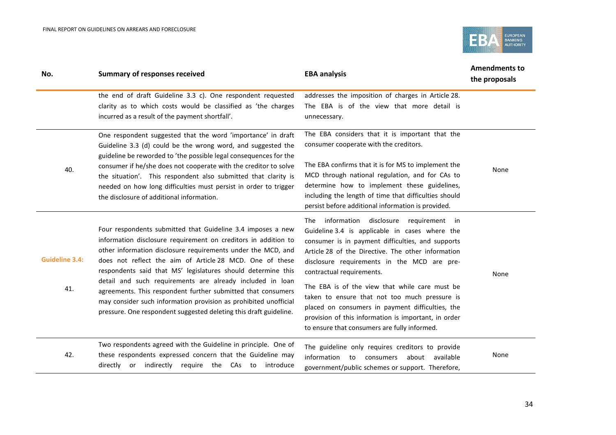

| No.                          | <b>Summary of responses received</b>                                                                                                                                                                                                                                                                                                                                                                                                                                                                                                                                                            | <b>EBA analysis</b>                                                                                                                                                                                                                                                                                                                                                                                                                                                                                                                                  | <b>Amendments to</b><br>the proposals |
|------------------------------|-------------------------------------------------------------------------------------------------------------------------------------------------------------------------------------------------------------------------------------------------------------------------------------------------------------------------------------------------------------------------------------------------------------------------------------------------------------------------------------------------------------------------------------------------------------------------------------------------|------------------------------------------------------------------------------------------------------------------------------------------------------------------------------------------------------------------------------------------------------------------------------------------------------------------------------------------------------------------------------------------------------------------------------------------------------------------------------------------------------------------------------------------------------|---------------------------------------|
|                              | the end of draft Guideline 3.3 c). One respondent requested<br>clarity as to which costs would be classified as 'the charges<br>incurred as a result of the payment shortfall'.                                                                                                                                                                                                                                                                                                                                                                                                                 | addresses the imposition of charges in Article 28.<br>The EBA is of the view that more detail is<br>unnecessary.                                                                                                                                                                                                                                                                                                                                                                                                                                     |                                       |
| 40.                          | One respondent suggested that the word 'importance' in draft<br>Guideline 3.3 (d) could be the wrong word, and suggested the<br>guideline be reworded to 'the possible legal consequences for the<br>consumer if he/she does not cooperate with the creditor to solve<br>the situation'. This respondent also submitted that clarity is<br>needed on how long difficulties must persist in order to trigger<br>the disclosure of additional information.                                                                                                                                        | The EBA considers that it is important that the<br>consumer cooperate with the creditors.<br>The EBA confirms that it is for MS to implement the<br>MCD through national regulation, and for CAs to<br>determine how to implement these guidelines,<br>including the length of time that difficulties should<br>persist before additional information is provided.                                                                                                                                                                                   | None                                  |
| <b>Guideline 3.4:</b><br>41. | Four respondents submitted that Guideline 3.4 imposes a new<br>information disclosure requirement on creditors in addition to<br>other information disclosure requirements under the MCD, and<br>does not reflect the aim of Article 28 MCD. One of these<br>respondents said that MS' legislatures should determine this<br>detail and such requirements are already included in loan<br>agreements. This respondent further submitted that consumers<br>may consider such information provision as prohibited unofficial<br>pressure. One respondent suggested deleting this draft guideline. | The information disclosure<br>requirement in<br>Guideline 3.4 is applicable in cases where the<br>consumer is in payment difficulties, and supports<br>Article 28 of the Directive. The other information<br>disclosure requirements in the MCD are pre-<br>contractual requirements.<br>The EBA is of the view that while care must be<br>taken to ensure that not too much pressure is<br>placed on consumers in payment difficulties, the<br>provision of this information is important, in order<br>to ensure that consumers are fully informed. | None                                  |
| 42.                          | Two respondents agreed with the Guideline in principle. One of<br>these respondents expressed concern that the Guideline may<br>directly or indirectly require the CAs to introduce                                                                                                                                                                                                                                                                                                                                                                                                             | The guideline only requires creditors to provide<br>information to consumers<br>about available<br>government/public schemes or support. Therefore,                                                                                                                                                                                                                                                                                                                                                                                                  | None                                  |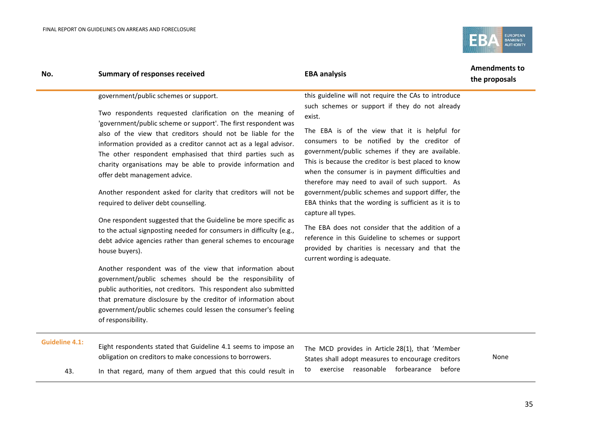

| No. | <b>Summary of responses received</b>                                                                                                                                                                                                                                                                                                                                                                                                                                                                                                                                                                                                                                                                                                                                                                                                                                                                                                                                                                                                                                                                                                                                       | <b>EBA analysis</b>                                                                                                                                                                                                                                                                                                                                                                                                                                                                                                                                                                                                                                                                                                                                                | <b>Amendments to</b><br>the proposals |
|-----|----------------------------------------------------------------------------------------------------------------------------------------------------------------------------------------------------------------------------------------------------------------------------------------------------------------------------------------------------------------------------------------------------------------------------------------------------------------------------------------------------------------------------------------------------------------------------------------------------------------------------------------------------------------------------------------------------------------------------------------------------------------------------------------------------------------------------------------------------------------------------------------------------------------------------------------------------------------------------------------------------------------------------------------------------------------------------------------------------------------------------------------------------------------------------|--------------------------------------------------------------------------------------------------------------------------------------------------------------------------------------------------------------------------------------------------------------------------------------------------------------------------------------------------------------------------------------------------------------------------------------------------------------------------------------------------------------------------------------------------------------------------------------------------------------------------------------------------------------------------------------------------------------------------------------------------------------------|---------------------------------------|
|     | government/public schemes or support.<br>Two respondents requested clarification on the meaning of<br>'government/public scheme or support'. The first respondent was<br>also of the view that creditors should not be liable for the<br>information provided as a creditor cannot act as a legal advisor.<br>The other respondent emphasised that third parties such as<br>charity organisations may be able to provide information and<br>offer debt management advice.<br>Another respondent asked for clarity that creditors will not be<br>required to deliver debt counselling.<br>One respondent suggested that the Guideline be more specific as<br>to the actual signposting needed for consumers in difficulty (e.g.,<br>debt advice agencies rather than general schemes to encourage<br>house buyers).<br>Another respondent was of the view that information about<br>government/public schemes should be the responsibility of<br>public authorities, not creditors. This respondent also submitted<br>that premature disclosure by the creditor of information about<br>government/public schemes could lessen the consumer's feeling<br>of responsibility. | this guideline will not require the CAs to introduce<br>such schemes or support if they do not already<br>exist.<br>The EBA is of the view that it is helpful for<br>consumers to be notified by the creditor of<br>government/public schemes if they are available.<br>This is because the creditor is best placed to know<br>when the consumer is in payment difficulties and<br>therefore may need to avail of such support. As<br>government/public schemes and support differ, the<br>EBA thinks that the wording is sufficient as it is to<br>capture all types.<br>The EBA does not consider that the addition of a<br>reference in this Guideline to schemes or support<br>provided by charities is necessary and that the<br>current wording is adequate. |                                       |
|     |                                                                                                                                                                                                                                                                                                                                                                                                                                                                                                                                                                                                                                                                                                                                                                                                                                                                                                                                                                                                                                                                                                                                                                            |                                                                                                                                                                                                                                                                                                                                                                                                                                                                                                                                                                                                                                                                                                                                                                    |                                       |

#### **Guideline 4.1:**

- Eight respondents stated that Guideline 4.1 seems to impose an obligation on creditors to make concessions to borrowers.
- 43. In that regard, many of them argued that this could result in

The MCD provides in Article 28(1), that 'Member States shall adopt measures to encourage creditors to exercise reasonable forbearance before

None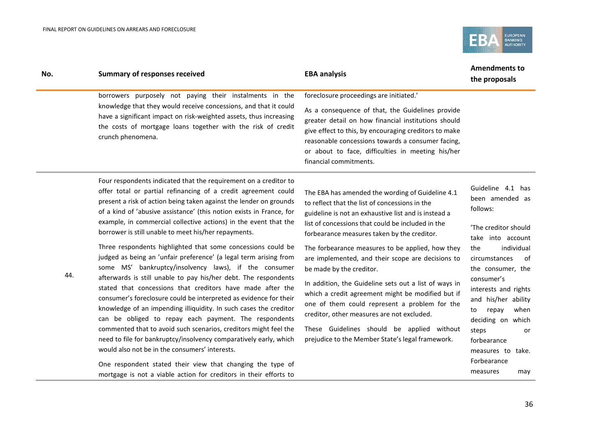

| No. | <b>Summary of responses received</b>                                                                                                                                                                                                                                                                                                                                                                                                                                                                                                                                                                                                                                                                                                                                                                                                                                                                                                                                                                                                                                                                                                                                                                                                                                         | <b>EBA analysis</b>                                                                                                                                                                                                                                                                                                                                                                                                                                                                                                                                                                                                                                                                                                | <b>Amendments to</b><br>the proposals                                                                                                                                                                                                                                                                                                                        |
|-----|------------------------------------------------------------------------------------------------------------------------------------------------------------------------------------------------------------------------------------------------------------------------------------------------------------------------------------------------------------------------------------------------------------------------------------------------------------------------------------------------------------------------------------------------------------------------------------------------------------------------------------------------------------------------------------------------------------------------------------------------------------------------------------------------------------------------------------------------------------------------------------------------------------------------------------------------------------------------------------------------------------------------------------------------------------------------------------------------------------------------------------------------------------------------------------------------------------------------------------------------------------------------------|--------------------------------------------------------------------------------------------------------------------------------------------------------------------------------------------------------------------------------------------------------------------------------------------------------------------------------------------------------------------------------------------------------------------------------------------------------------------------------------------------------------------------------------------------------------------------------------------------------------------------------------------------------------------------------------------------------------------|--------------------------------------------------------------------------------------------------------------------------------------------------------------------------------------------------------------------------------------------------------------------------------------------------------------------------------------------------------------|
|     | borrowers purposely not paying their instalments in the<br>knowledge that they would receive concessions, and that it could<br>have a significant impact on risk-weighted assets, thus increasing<br>the costs of mortgage loans together with the risk of credit<br>crunch phenomena.                                                                                                                                                                                                                                                                                                                                                                                                                                                                                                                                                                                                                                                                                                                                                                                                                                                                                                                                                                                       | foreclosure proceedings are initiated.'<br>As a consequence of that, the Guidelines provide<br>greater detail on how financial institutions should<br>give effect to this, by encouraging creditors to make<br>reasonable concessions towards a consumer facing,<br>or about to face, difficulties in meeting his/her<br>financial commitments.                                                                                                                                                                                                                                                                                                                                                                    |                                                                                                                                                                                                                                                                                                                                                              |
| 44. | Four respondents indicated that the requirement on a creditor to<br>offer total or partial refinancing of a credit agreement could<br>present a risk of action being taken against the lender on grounds<br>of a kind of 'abusive assistance' (this notion exists in France, for<br>example, in commercial collective actions) in the event that the<br>borrower is still unable to meet his/her repayments.<br>Three respondents highlighted that some concessions could be<br>judged as being an 'unfair preference' (a legal term arising from<br>some MS' bankruptcy/insolvency laws), if the consumer<br>afterwards is still unable to pay his/her debt. The respondents<br>stated that concessions that creditors have made after the<br>consumer's foreclosure could be interpreted as evidence for their<br>knowledge of an impending illiquidity. In such cases the creditor<br>can be obliged to repay each payment. The respondents<br>commented that to avoid such scenarios, creditors might feel the<br>need to file for bankruptcy/insolvency comparatively early, which<br>would also not be in the consumers' interests.<br>One respondent stated their view that changing the type of<br>mortgage is not a viable action for creditors in their efforts to | The EBA has amended the wording of Guideline 4.1<br>to reflect that the list of concessions in the<br>guideline is not an exhaustive list and is instead a<br>list of concessions that could be included in the<br>forbearance measures taken by the creditor.<br>The forbearance measures to be applied, how they<br>are implemented, and their scope are decisions to<br>be made by the creditor.<br>In addition, the Guideline sets out a list of ways in<br>which a credit agreement might be modified but if<br>one of them could represent a problem for the<br>creditor, other measures are not excluded.<br>These Guidelines should be applied without<br>prejudice to the Member State's legal framework. | Guideline 4.1 has<br>been amended as<br>follows:<br>'The creditor should<br>take into account<br>individual<br>the<br>circumstances<br>0f<br>the consumer, the<br>consumer's<br>interests and rights<br>and his/her ability<br>repay<br>when<br>to<br>deciding on which<br>steps<br>or<br>forbearance<br>measures to take.<br>Forbearance<br>measures<br>may |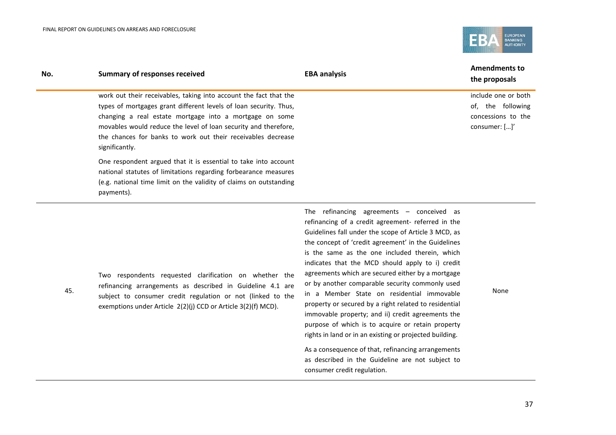

| No. | <b>Summary of responses received</b>                                                                                                                                                                                                                                                                                                                   | <b>EBA analysis</b> | <b>Amendments to</b><br>the proposals                                           |
|-----|--------------------------------------------------------------------------------------------------------------------------------------------------------------------------------------------------------------------------------------------------------------------------------------------------------------------------------------------------------|---------------------|---------------------------------------------------------------------------------|
|     | work out their receivables, taking into account the fact that the<br>types of mortgages grant different levels of loan security. Thus,<br>changing a real estate mortgage into a mortgage on some<br>movables would reduce the level of loan security and therefore.<br>the chances for banks to work out their receivables decrease<br>significantly. |                     | include one or both<br>of, the following<br>concessions to the<br>consumer: []' |
|     | One respondent argued that it is essential to take into account<br>national statutes of limitations regarding forbearance measures<br>(e.g. national time limit on the validity of claims on outstanding<br>payments).                                                                                                                                 |                     |                                                                                 |

Two respondents requested clarification on whether the refinancing arrangements as described in Guideline 4.1 are subject to consumer credit regulation or not (linked to the exemptions under Article 2(2)(j) CCD or Article 3(2)(f) MCD).

The refinancing agreements – conceived as refinancing of a credit agreement- referred in the Guidelines fall under the scope of Article 3 MCD, as the concept of 'credit agreement' in the Guidelines is the same as the one included therein, which indicates that the MCD should apply to i) credit agreements which are secured either by a mortgage or by another comparable security commonly used in a Member State on residential immovable property or secured by a right related to residential immovable property; and ii) credit agreements the purpose of which is to acquire or retain property rights in land or in an existing or projected building.

As a consequence of that, refinancing arrangements as described in the Guideline are not subject to consumer credit regulation.

None

 $\overline{a}$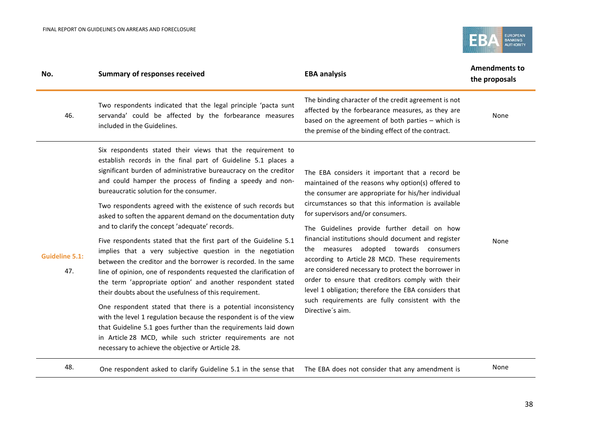

| No.                          | <b>Summary of responses received</b>                                                                                                                                                                                                                                                                                                                                                                                                                                                                                                                                                                                                                                                                                                                                                                                                                                                                                                                                                                                                                                                                                                                                                                                        | <b>EBA analysis</b>                                                                                                                                                                                                                                                                                                                                                                                                                                                                                                                                                                                                                                                                                    | <b>Amendments to</b><br>the proposals |
|------------------------------|-----------------------------------------------------------------------------------------------------------------------------------------------------------------------------------------------------------------------------------------------------------------------------------------------------------------------------------------------------------------------------------------------------------------------------------------------------------------------------------------------------------------------------------------------------------------------------------------------------------------------------------------------------------------------------------------------------------------------------------------------------------------------------------------------------------------------------------------------------------------------------------------------------------------------------------------------------------------------------------------------------------------------------------------------------------------------------------------------------------------------------------------------------------------------------------------------------------------------------|--------------------------------------------------------------------------------------------------------------------------------------------------------------------------------------------------------------------------------------------------------------------------------------------------------------------------------------------------------------------------------------------------------------------------------------------------------------------------------------------------------------------------------------------------------------------------------------------------------------------------------------------------------------------------------------------------------|---------------------------------------|
| 46.                          | Two respondents indicated that the legal principle 'pacta sunt<br>servanda' could be affected by the forbearance measures<br>included in the Guidelines.                                                                                                                                                                                                                                                                                                                                                                                                                                                                                                                                                                                                                                                                                                                                                                                                                                                                                                                                                                                                                                                                    | The binding character of the credit agreement is not<br>affected by the forbearance measures, as they are<br>based on the agreement of both parties - which is<br>the premise of the binding effect of the contract.                                                                                                                                                                                                                                                                                                                                                                                                                                                                                   | None                                  |
| <b>Guideline 5.1:</b><br>47. | Six respondents stated their views that the requirement to<br>establish records in the final part of Guideline 5.1 places a<br>significant burden of administrative bureaucracy on the creditor<br>and could hamper the process of finding a speedy and non-<br>bureaucratic solution for the consumer.<br>Two respondents agreed with the existence of such records but<br>asked to soften the apparent demand on the documentation duty<br>and to clarify the concept 'adequate' records.<br>Five respondents stated that the first part of the Guideline 5.1<br>implies that a very subjective question in the negotiation<br>between the creditor and the borrower is recorded. In the same<br>line of opinion, one of respondents requested the clarification of<br>the term 'appropriate option' and another respondent stated<br>their doubts about the usefulness of this requirement.<br>One respondent stated that there is a potential inconsistency<br>with the level 1 regulation because the respondent is of the view<br>that Guideline 5.1 goes further than the requirements laid down<br>in Article 28 MCD, while such stricter requirements are not<br>necessary to achieve the objective or Article 28. | The EBA considers it important that a record be<br>maintained of the reasons why option(s) offered to<br>the consumer are appropriate for his/her individual<br>circumstances so that this information is available<br>for supervisors and/or consumers.<br>The Guidelines provide further detail on how<br>financial institutions should document and register<br>the measures adopted towards consumers<br>according to Article 28 MCD. These requirements<br>are considered necessary to protect the borrower in<br>order to ensure that creditors comply with their<br>level 1 obligation; therefore the EBA considers that<br>such requirements are fully consistent with the<br>Directive's aim. | None                                  |

48. One respondent asked to clarify Guideline 5.1 in the sense that The EBA does not consider that any amendment is None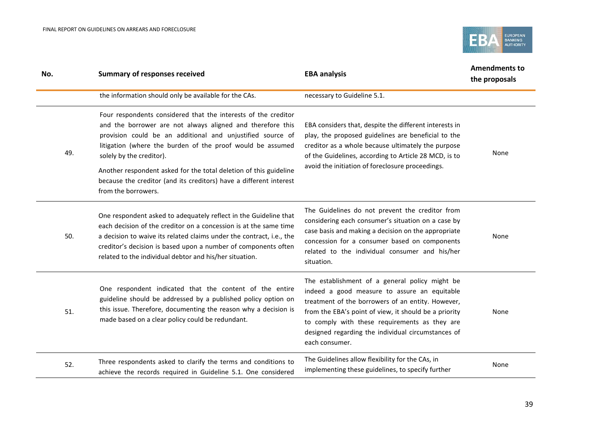

| No. | <b>Summary of responses received</b>                                                                                                                                                                                                                                                                                                                                                                                                                   | <b>EBA analysis</b>                                                                                                                                                                                                                                                                                                                   | <b>Amendments to</b><br>the proposals |
|-----|--------------------------------------------------------------------------------------------------------------------------------------------------------------------------------------------------------------------------------------------------------------------------------------------------------------------------------------------------------------------------------------------------------------------------------------------------------|---------------------------------------------------------------------------------------------------------------------------------------------------------------------------------------------------------------------------------------------------------------------------------------------------------------------------------------|---------------------------------------|
|     | the information should only be available for the CAs.                                                                                                                                                                                                                                                                                                                                                                                                  | necessary to Guideline 5.1.                                                                                                                                                                                                                                                                                                           |                                       |
| 49. | Four respondents considered that the interests of the creditor<br>and the borrower are not always aligned and therefore this<br>provision could be an additional and unjustified source of<br>litigation (where the burden of the proof would be assumed<br>solely by the creditor).<br>Another respondent asked for the total deletion of this guideline<br>because the creditor (and its creditors) have a different interest<br>from the borrowers. | EBA considers that, despite the different interests in<br>play, the proposed guidelines are beneficial to the<br>creditor as a whole because ultimately the purpose<br>of the Guidelines, according to Article 28 MCD, is to<br>avoid the initiation of foreclosure proceedings.                                                      | None                                  |
| 50. | One respondent asked to adequately reflect in the Guideline that<br>each decision of the creditor on a concession is at the same time<br>a decision to waive its related claims under the contract, i.e., the<br>creditor's decision is based upon a number of components often<br>related to the individual debtor and his/her situation.                                                                                                             | The Guidelines do not prevent the creditor from<br>considering each consumer's situation on a case by<br>case basis and making a decision on the appropriate<br>concession for a consumer based on components<br>related to the individual consumer and his/her<br>situation.                                                         | None                                  |
| 51. | One respondent indicated that the content of the entire<br>guideline should be addressed by a published policy option on<br>this issue. Therefore, documenting the reason why a decision is<br>made based on a clear policy could be redundant.                                                                                                                                                                                                        | The establishment of a general policy might be<br>indeed a good measure to assure an equitable<br>treatment of the borrowers of an entity. However,<br>from the EBA's point of view, it should be a priority<br>to comply with these requirements as they are<br>designed regarding the individual circumstances of<br>each consumer. | None                                  |
| 52. | Three respondents asked to clarify the terms and conditions to<br>achieve the records required in Guideline 5.1. One considered                                                                                                                                                                                                                                                                                                                        | The Guidelines allow flexibility for the CAs, in<br>implementing these guidelines, to specify further                                                                                                                                                                                                                                 | None                                  |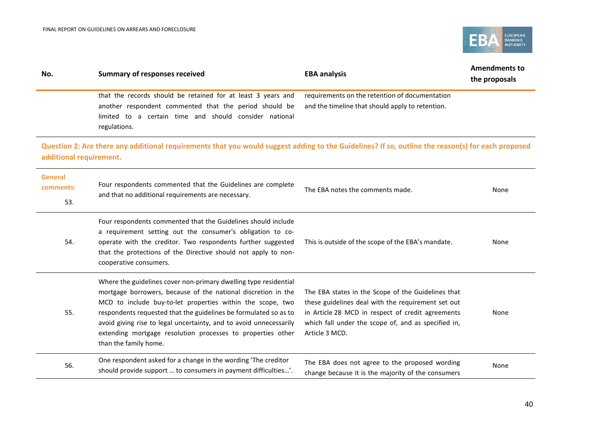

| No.                                | <b>Summary of responses received</b>                                                                                                                                                                                                                                                                                                                                                                                              | <b>EBA analysis</b>                                                                                                                                                                                                                    | <b>Amendments to</b><br>the proposals |  |
|------------------------------------|-----------------------------------------------------------------------------------------------------------------------------------------------------------------------------------------------------------------------------------------------------------------------------------------------------------------------------------------------------------------------------------------------------------------------------------|----------------------------------------------------------------------------------------------------------------------------------------------------------------------------------------------------------------------------------------|---------------------------------------|--|
|                                    | that the records should be retained for at least 3 years and<br>another respondent commented that the period should be<br>limited to a certain time and should consider national<br>regulations.                                                                                                                                                                                                                                  | requirements on the retention of documentation<br>and the timeline that should apply to retention.                                                                                                                                     |                                       |  |
| additional requirement.            | Question 2: Are there any additional requirements that you would suggest adding to the Guidelines? If so, outline the reason(s) for each proposed                                                                                                                                                                                                                                                                                 |                                                                                                                                                                                                                                        |                                       |  |
| <b>General</b><br>comments:<br>53. | Four respondents commented that the Guidelines are complete<br>and that no additional requirements are necessary.                                                                                                                                                                                                                                                                                                                 | The EBA notes the comments made.                                                                                                                                                                                                       | None                                  |  |
| 54.                                | Four respondents commented that the Guidelines should include<br>a requirement setting out the consumer's obligation to co-<br>operate with the creditor. Two respondents further suggested<br>that the protections of the Directive should not apply to non-<br>cooperative consumers.                                                                                                                                           | This is outside of the scope of the EBA's mandate.                                                                                                                                                                                     | None                                  |  |
| 55.                                | Where the guidelines cover non-primary dwelling type residential<br>mortgage borrowers, because of the national discretion in the<br>MCD to include buy-to-let properties within the scope, two<br>respondents requested that the guidelines be formulated so as to<br>avoid giving rise to legal uncertainty, and to avoid unnecessarily<br>extending mortgage resolution processes to properties other<br>than the family home. | The EBA states in the Scope of the Guidelines that<br>these guidelines deal with the requirement set out<br>in Article 28 MCD in respect of credit agreements<br>which fall under the scope of, and as specified in,<br>Article 3 MCD. | None                                  |  |
| 56.                                | One respondent asked for a change in the wording 'The creditor<br>should provide support  to consumers in payment difficulties'.                                                                                                                                                                                                                                                                                                  | The EBA does not agree to the proposed wording<br>change because it is the majority of the consumers                                                                                                                                   | None                                  |  |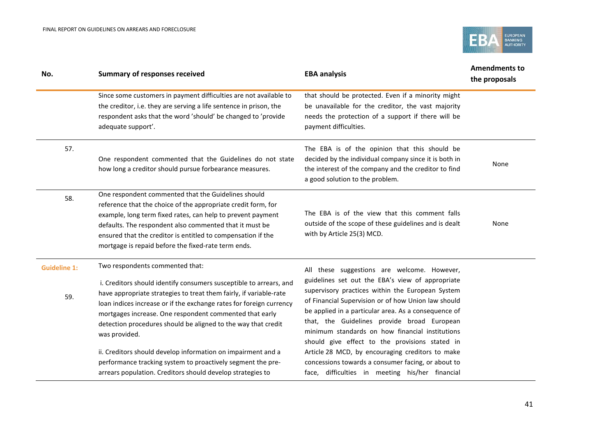

| No.                        | <b>Summary of responses received</b>                                                                                                                                                                                                                                                                                                                                                            | <b>EBA analysis</b>                                                                                                                                                                                                                                                                                                                                                                                                    | <b>Amendments to</b><br>the proposals |  |
|----------------------------|-------------------------------------------------------------------------------------------------------------------------------------------------------------------------------------------------------------------------------------------------------------------------------------------------------------------------------------------------------------------------------------------------|------------------------------------------------------------------------------------------------------------------------------------------------------------------------------------------------------------------------------------------------------------------------------------------------------------------------------------------------------------------------------------------------------------------------|---------------------------------------|--|
|                            | Since some customers in payment difficulties are not available to<br>the creditor, i.e. they are serving a life sentence in prison, the<br>respondent asks that the word 'should' be changed to 'provide<br>adequate support'.                                                                                                                                                                  | that should be protected. Even if a minority might<br>be unavailable for the creditor, the vast majority<br>needs the protection of a support if there will be<br>payment difficulties.                                                                                                                                                                                                                                |                                       |  |
| 57.                        | One respondent commented that the Guidelines do not state<br>how long a creditor should pursue forbearance measures.                                                                                                                                                                                                                                                                            | The EBA is of the opinion that this should be<br>decided by the individual company since it is both in<br>the interest of the company and the creditor to find<br>a good solution to the problem.                                                                                                                                                                                                                      | None                                  |  |
| 58.                        | One respondent commented that the Guidelines should<br>reference that the choice of the appropriate credit form, for<br>example, long term fixed rates, can help to prevent payment<br>defaults. The respondent also commented that it must be<br>ensured that the creditor is entitled to compensation if the<br>mortgage is repaid before the fixed-rate term ends.                           | The EBA is of the view that this comment falls<br>outside of the scope of these guidelines and is dealt<br>with by Article 25(3) MCD.                                                                                                                                                                                                                                                                                  | None                                  |  |
| <b>Guideline 1:</b><br>59. | Two respondents commented that:<br>i. Creditors should identify consumers susceptible to arrears, and<br>have appropriate strategies to treat them fairly, if variable-rate<br>loan indices increase or if the exchange rates for foreign currency<br>mortgages increase. One respondent commented that early<br>detection procedures should be aligned to the way that credit<br>was provided. | All these suggestions are welcome. However,<br>guidelines set out the EBA's view of appropriate<br>supervisory practices within the European System<br>of Financial Supervision or of how Union law should<br>be applied in a particular area. As a consequence of<br>that, the Guidelines provide broad European<br>minimum standards on how financial institutions<br>should give effect to the provisions stated in |                                       |  |
|                            | ii. Creditors should develop information on impairment and a<br>performance tracking system to proactively segment the pre-<br>arrears population. Creditors should develop strategies to                                                                                                                                                                                                       | Article 28 MCD, by encouraging creditors to make<br>concessions towards a consumer facing, or about to<br>face, difficulties in meeting his/her financial                                                                                                                                                                                                                                                              |                                       |  |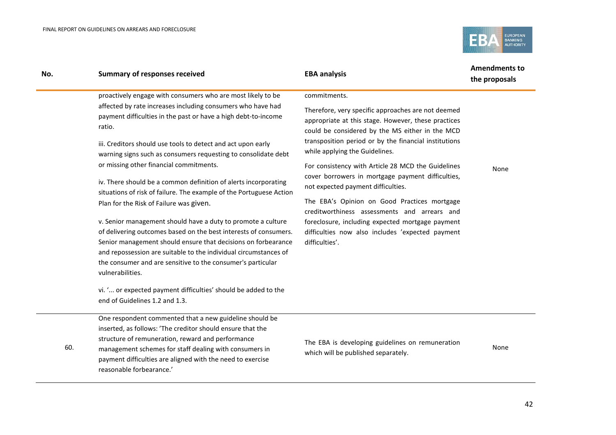

| No. | <b>Summary of responses received</b>                                                                                                                                                                                                                                                                                                                     | <b>EBA analysis</b>                                                                                                                                          | <b>Amendments to</b><br>the proposals |
|-----|----------------------------------------------------------------------------------------------------------------------------------------------------------------------------------------------------------------------------------------------------------------------------------------------------------------------------------------------------------|--------------------------------------------------------------------------------------------------------------------------------------------------------------|---------------------------------------|
|     | proactively engage with consumers who are most likely to be                                                                                                                                                                                                                                                                                              | commitments.                                                                                                                                                 |                                       |
|     | affected by rate increases including consumers who have had<br>payment difficulties in the past or have a high debt-to-income<br>ratio.                                                                                                                                                                                                                  | Therefore, very specific approaches are not deemed<br>appropriate at this stage. However, these practices<br>could be considered by the MS either in the MCD |                                       |
|     | iii. Creditors should use tools to detect and act upon early<br>warning signs such as consumers requesting to consolidate debt                                                                                                                                                                                                                           | transposition period or by the financial institutions<br>while applying the Guidelines.                                                                      |                                       |
|     | or missing other financial commitments.                                                                                                                                                                                                                                                                                                                  | For consistency with Article 28 MCD the Guidelines                                                                                                           | None                                  |
|     | iv. There should be a common definition of alerts incorporating<br>situations of risk of failure. The example of the Portuguese Action                                                                                                                                                                                                                   | cover borrowers in mortgage payment difficulties,<br>not expected payment difficulties.                                                                      |                                       |
|     | Plan for the Risk of Failure was given.                                                                                                                                                                                                                                                                                                                  | The EBA's Opinion on Good Practices mortgage<br>creditworthiness assessments and arrears and                                                                 |                                       |
|     | v. Senior management should have a duty to promote a culture<br>of delivering outcomes based on the best interests of consumers.<br>Senior management should ensure that decisions on forbearance<br>and repossession are suitable to the individual circumstances of<br>the consumer and are sensitive to the consumer's particular<br>vulnerabilities. | foreclosure, including expected mortgage payment<br>difficulties now also includes 'expected payment<br>difficulties'.                                       |                                       |
|     | vi. ' or expected payment difficulties' should be added to the<br>end of Guidelines 1.2 and 1.3.                                                                                                                                                                                                                                                         |                                                                                                                                                              |                                       |
|     | One reconordent commented that a new quideline should be                                                                                                                                                                                                                                                                                                 |                                                                                                                                                              |                                       |

One respondent commented that a new guideline should be inserted, as follows: 'The creditor should ensure that the structure of remuneration, reward and performance

60. management schemes for staff dealing with consumers in payment difficulties are aligned with the need to exercise reasonable forbearance.'

The EBA is developing guidelines on remuneration which will be published separately.

None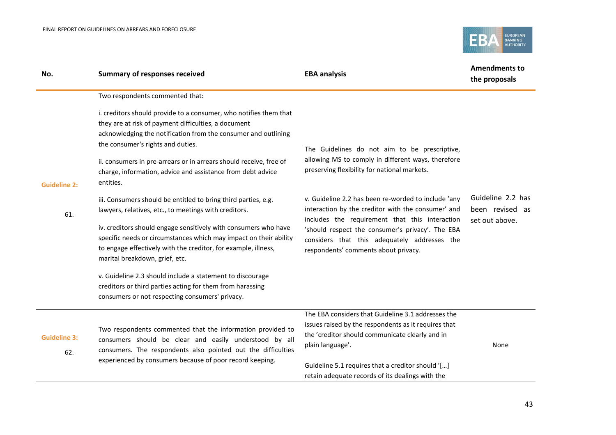

| No.                        | <b>Summary of responses received</b>                                                                                                                                                                                                                                                                                                                                                                                                                                                                                                                                                                                                                                                                                                                                                         | <b>EBA analysis</b>                                                                                                                                                                                                                                                                                                                                                                                                                                            | <b>Amendments to</b><br>the proposals                  |
|----------------------------|----------------------------------------------------------------------------------------------------------------------------------------------------------------------------------------------------------------------------------------------------------------------------------------------------------------------------------------------------------------------------------------------------------------------------------------------------------------------------------------------------------------------------------------------------------------------------------------------------------------------------------------------------------------------------------------------------------------------------------------------------------------------------------------------|----------------------------------------------------------------------------------------------------------------------------------------------------------------------------------------------------------------------------------------------------------------------------------------------------------------------------------------------------------------------------------------------------------------------------------------------------------------|--------------------------------------------------------|
| <b>Guideline 2:</b><br>61. | Two respondents commented that:<br>i. creditors should provide to a consumer, who notifies them that<br>they are at risk of payment difficulties, a document<br>acknowledging the notification from the consumer and outlining<br>the consumer's rights and duties.<br>ii. consumers in pre-arrears or in arrears should receive, free of<br>charge, information, advice and assistance from debt advice<br>entities.<br>iii. Consumers should be entitled to bring third parties, e.g.<br>lawyers, relatives, etc., to meetings with creditors.<br>iv. creditors should engage sensitively with consumers who have<br>specific needs or circumstances which may impact on their ability<br>to engage effectively with the creditor, for example, illness,<br>marital breakdown, grief, etc. | The Guidelines do not aim to be prescriptive,<br>allowing MS to comply in different ways, therefore<br>preserving flexibility for national markets.<br>v. Guideline 2.2 has been re-worded to include 'any<br>interaction by the creditor with the consumer' and<br>includes the requirement that this interaction<br>'should respect the consumer's privacy'. The EBA<br>considers that this adequately addresses the<br>respondents' comments about privacy. | Guideline 2.2 has<br>been revised as<br>set out above. |
|                            | v. Guideline 2.3 should include a statement to discourage<br>creditors or third parties acting for them from harassing<br>consumers or not respecting consumers' privacy.                                                                                                                                                                                                                                                                                                                                                                                                                                                                                                                                                                                                                    |                                                                                                                                                                                                                                                                                                                                                                                                                                                                |                                                        |
| <b>Guideline 3:</b><br>62. | Two respondents commented that the information provided to<br>consumers should be clear and easily understood by all<br>consumers. The respondents also pointed out the difficulties<br>experienced by consumers because of poor record keeping.                                                                                                                                                                                                                                                                                                                                                                                                                                                                                                                                             | The EBA considers that Guideline 3.1 addresses the<br>issues raised by the respondents as it requires that<br>the 'creditor should communicate clearly and in<br>plain language'.<br>Guideline 5.1 requires that a creditor should '[]<br>retain adequate records of its dealings with the                                                                                                                                                                     | None                                                   |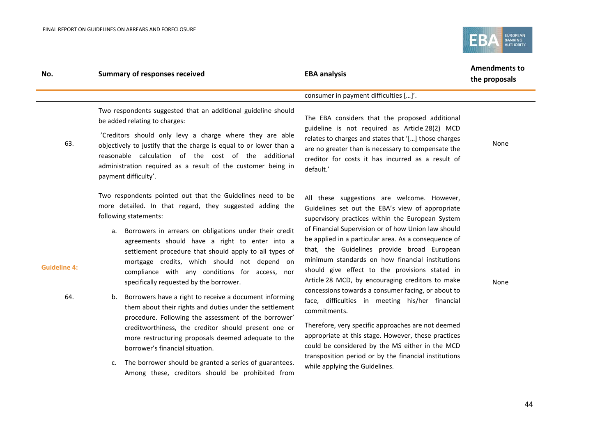

| No.                        | <b>Summary of responses received</b>                                                                                                                                                                                                                                                                                                                                                                                                                                                                                                                                                                                                                                                                                                                                                                                                                                                                                              | <b>EBA analysis</b>                                                                                                                                                                                                                                                                                                                                                                                                                                                                                                                                                                                                                                                                                                                                                                                                                                            | <b>Amendments to</b><br>the proposals |
|----------------------------|-----------------------------------------------------------------------------------------------------------------------------------------------------------------------------------------------------------------------------------------------------------------------------------------------------------------------------------------------------------------------------------------------------------------------------------------------------------------------------------------------------------------------------------------------------------------------------------------------------------------------------------------------------------------------------------------------------------------------------------------------------------------------------------------------------------------------------------------------------------------------------------------------------------------------------------|----------------------------------------------------------------------------------------------------------------------------------------------------------------------------------------------------------------------------------------------------------------------------------------------------------------------------------------------------------------------------------------------------------------------------------------------------------------------------------------------------------------------------------------------------------------------------------------------------------------------------------------------------------------------------------------------------------------------------------------------------------------------------------------------------------------------------------------------------------------|---------------------------------------|
|                            |                                                                                                                                                                                                                                                                                                                                                                                                                                                                                                                                                                                                                                                                                                                                                                                                                                                                                                                                   | consumer in payment difficulties []'.                                                                                                                                                                                                                                                                                                                                                                                                                                                                                                                                                                                                                                                                                                                                                                                                                          |                                       |
|                            | Two respondents suggested that an additional guideline should<br>be added relating to charges:                                                                                                                                                                                                                                                                                                                                                                                                                                                                                                                                                                                                                                                                                                                                                                                                                                    | The EBA considers that the proposed additional<br>guideline is not required as Article 28(2) MCD<br>relates to charges and states that '[] those charges<br>are no greater than is necessary to compensate the<br>creditor for costs it has incurred as a result of<br>default.'                                                                                                                                                                                                                                                                                                                                                                                                                                                                                                                                                                               |                                       |
| 63.                        | 'Creditors should only levy a charge where they are able<br>objectively to justify that the charge is equal to or lower than a<br>reasonable calculation of the cost of the additional<br>administration required as a result of the customer being in<br>payment difficulty'.                                                                                                                                                                                                                                                                                                                                                                                                                                                                                                                                                                                                                                                    |                                                                                                                                                                                                                                                                                                                                                                                                                                                                                                                                                                                                                                                                                                                                                                                                                                                                | None                                  |
| <b>Guideline 4:</b><br>64. | Two respondents pointed out that the Guidelines need to be<br>more detailed. In that regard, they suggested adding the<br>following statements:<br>Borrowers in arrears on obligations under their credit<br>а.<br>agreements should have a right to enter into a<br>settlement procedure that should apply to all types of<br>mortgage credits, which should not depend on<br>compliance with any conditions for access, nor<br>specifically requested by the borrower.<br>Borrowers have a right to receive a document informing<br>b.<br>them about their rights and duties under the settlement<br>procedure. Following the assessment of the borrower'<br>creditworthiness, the creditor should present one or<br>more restructuring proposals deemed adequate to the<br>borrower's financial situation.<br>The borrower should be granted a series of guarantees.<br>c.<br>Among these, creditors should be prohibited from | All these suggestions are welcome. However,<br>Guidelines set out the EBA's view of appropriate<br>supervisory practices within the European System<br>of Financial Supervision or of how Union law should<br>be applied in a particular area. As a consequence of<br>that, the Guidelines provide broad European<br>minimum standards on how financial institutions<br>should give effect to the provisions stated in<br>Article 28 MCD, by encouraging creditors to make<br>concessions towards a consumer facing, or about to<br>face, difficulties in meeting his/her financial<br>commitments.<br>Therefore, very specific approaches are not deemed<br>appropriate at this stage. However, these practices<br>could be considered by the MS either in the MCD<br>transposition period or by the financial institutions<br>while applying the Guidelines. | None                                  |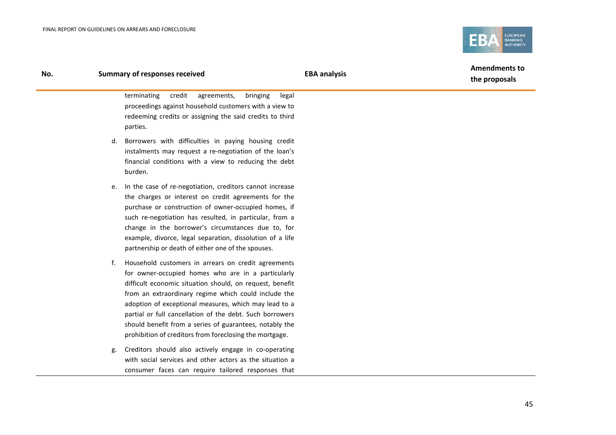

#### **No. Summary of responses received EBA analysis**

**Amendments to the proposals**

terminating credit agreements, bringing legal proceedings against household customers with a view to redeeming credits or assigning the said credits to third parties.

- d. Borrowers with difficulties in paying housing credit instalments may request a re-negotiation of the loan's financial conditions with a view to reducing the debt burden.
- e. In the case of re-negotiation, creditors cannot increase the charges or interest on credit agreements for the purchase or construction of owner-occupied homes, if such re-negotiation has resulted, in particular, from a change in the borrower's circumstances due to, for example, divorce, legal separation, dissolution of a life partnership or death of either one of the spouses.
- f. Household customers in arrears on credit agreements for owner-occupied homes who are in a particularly difficult economic situation should, on request, benefit from an extraordinary regime which could include the adoption of exceptional measures, which may lead to a partial or full cancellation of the debt. Such borrowers should benefit from a series of guarantees, notably the prohibition of creditors from foreclosing the mortgage.
- g. Creditors should also actively engage in co-operating with social services and other actors as the situation a consumer faces can require tailored responses that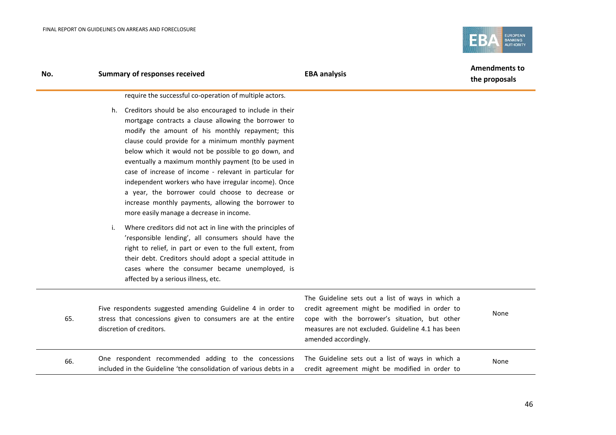

| No. | <b>Summary of responses received</b>                                                                                                                                                                                                                                                                                                                                                                                                                                                                                                                                                                                                                                             | <b>EBA analysis</b>                                                                                                                                                                                                              | <b>Amendments to</b><br>the proposals |  |
|-----|----------------------------------------------------------------------------------------------------------------------------------------------------------------------------------------------------------------------------------------------------------------------------------------------------------------------------------------------------------------------------------------------------------------------------------------------------------------------------------------------------------------------------------------------------------------------------------------------------------------------------------------------------------------------------------|----------------------------------------------------------------------------------------------------------------------------------------------------------------------------------------------------------------------------------|---------------------------------------|--|
|     | require the successful co-operation of multiple actors.<br>h. Creditors should be also encouraged to include in their<br>mortgage contracts a clause allowing the borrower to<br>modify the amount of his monthly repayment; this<br>clause could provide for a minimum monthly payment<br>below which it would not be possible to go down, and<br>eventually a maximum monthly payment (to be used in<br>case of increase of income - relevant in particular for<br>independent workers who have irregular income). Once<br>a year, the borrower could choose to decrease or<br>increase monthly payments, allowing the borrower to<br>more easily manage a decrease in income. |                                                                                                                                                                                                                                  |                                       |  |
|     | Where creditors did not act in line with the principles of<br>i.<br>'responsible lending', all consumers should have the<br>right to relief, in part or even to the full extent, from<br>their debt. Creditors should adopt a special attitude in<br>cases where the consumer became unemployed, is<br>affected by a serious illness, etc.                                                                                                                                                                                                                                                                                                                                       |                                                                                                                                                                                                                                  |                                       |  |
| 65. | Five respondents suggested amending Guideline 4 in order to<br>stress that concessions given to consumers are at the entire<br>discretion of creditors.                                                                                                                                                                                                                                                                                                                                                                                                                                                                                                                          | The Guideline sets out a list of ways in which a<br>credit agreement might be modified in order to<br>cope with the borrower's situation, but other<br>measures are not excluded. Guideline 4.1 has been<br>amended accordingly. | None                                  |  |
| 66. | One respondent recommended adding to the concessions<br>included in the Guideline 'the consolidation of various debts in a                                                                                                                                                                                                                                                                                                                                                                                                                                                                                                                                                       | The Guideline sets out a list of ways in which a<br>credit agreement might be modified in order to                                                                                                                               | None                                  |  |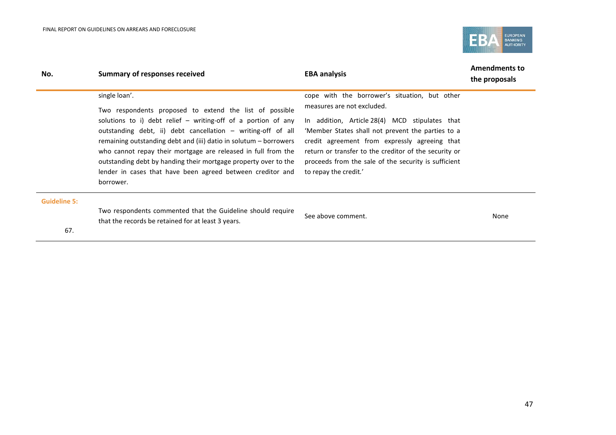

| No.                 | Summary of responses received                                                                                                                                                                                                                                                                                        | <b>EBA analysis</b>                                                                                   | <b>Amendments to</b><br>the proposals |
|---------------------|----------------------------------------------------------------------------------------------------------------------------------------------------------------------------------------------------------------------------------------------------------------------------------------------------------------------|-------------------------------------------------------------------------------------------------------|---------------------------------------|
|                     | single loan'.                                                                                                                                                                                                                                                                                                        | cope with the borrower's situation, but other<br>measures are not excluded.                           |                                       |
|                     | solutions to i) debt relief $-$ writing-off of a portion of any                                                                                                                                                                                                                                                      | In addition, Article 28(4) MCD stipulates that                                                        |                                       |
|                     | outstanding debt, ii) debt cancellation - writing-off of all                                                                                                                                                                                                                                                         | 'Member States shall not prevent the parties to a                                                     |                                       |
|                     | who cannot repay their mortgage are released in full from the                                                                                                                                                                                                                                                        | return or transfer to the creditor of the security or                                                 |                                       |
|                     | lender in cases that have been agreed between creditor and                                                                                                                                                                                                                                                           | to repay the credit.'                                                                                 |                                       |
|                     | borrower.                                                                                                                                                                                                                                                                                                            |                                                                                                       |                                       |
| <b>Guideline 5:</b> |                                                                                                                                                                                                                                                                                                                      |                                                                                                       |                                       |
|                     |                                                                                                                                                                                                                                                                                                                      | See above comment.                                                                                    | None                                  |
| 67.                 |                                                                                                                                                                                                                                                                                                                      |                                                                                                       |                                       |
|                     | Two respondents proposed to extend the list of possible<br>remaining outstanding debt and (iii) datio in solutum – borrowers<br>outstanding debt by handing their mortgage property over to the<br>Two respondents commented that the Guideline should require<br>that the records be retained for at least 3 years. | credit agreement from expressly agreeing that<br>proceeds from the sale of the security is sufficient |                                       |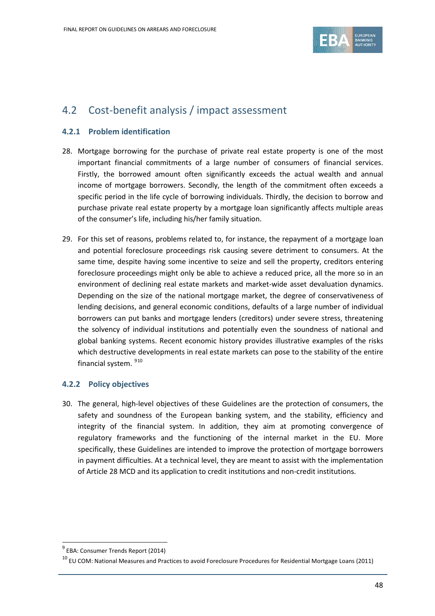

### <span id="page-47-0"></span>4.2 Cost-benefit analysis / impact assessment

### **4.2.1 Problem identification**

- 28. Mortgage borrowing for the purchase of private real estate property is one of the most important financial commitments of a large number of consumers of financial services. Firstly, the borrowed amount often significantly exceeds the actual wealth and annual income of mortgage borrowers. Secondly, the length of the commitment often exceeds a specific period in the life cycle of borrowing individuals. Thirdly, the decision to borrow and purchase private real estate property by a mortgage loan significantly affects multiple areas of the consumer's life, including his/her family situation.
- 29. For this set of reasons, problems related to, for instance, the repayment of a mortgage loan and potential foreclosure proceedings risk causing severe detriment to consumers. At the same time, despite having some incentive to seize and sell the property, creditors entering foreclosure proceedings might only be able to achieve a reduced price, all the more so in an environment of declining real estate markets and market-wide asset devaluation dynamics. Depending on the size of the national mortgage market, the degree of conservativeness of lending decisions, and general economic conditions, defaults of a large number of individual borrowers can put banks and mortgage lenders (creditors) under severe stress, threatening the solvency of individual institutions and potentially even the soundness of national and global banking systems. Recent economic history provides illustrative examples of the risks which destructive developments in real estate markets can pose to the stability of the entire financial system. <sup>[9](#page-47-1)[10](#page-47-2)</sup>

### **4.2.2 Policy objectives**

30. The general, high-level objectives of these Guidelines are the protection of consumers, the safety and soundness of the European banking system, and the stability, efficiency and integrity of the financial system. In addition, they aim at promoting convergence of regulatory frameworks and the functioning of the internal market in the EU. More specifically, these Guidelines are intended to improve the protection of mortgage borrowers in payment difficulties. At a technical level, they are meant to assist with the implementation of Article 28 MCD and its application to credit institutions and non-credit institutions.

 $\overline{a}$ 

<span id="page-47-1"></span><sup>&</sup>lt;sup>9</sup> EBA: Consumer Trends Report (2014)

<span id="page-47-2"></span> $^{10}$  EU COM: National Measures and Practices to avoid Foreclosure Procedures for Residential Mortgage Loans (2011)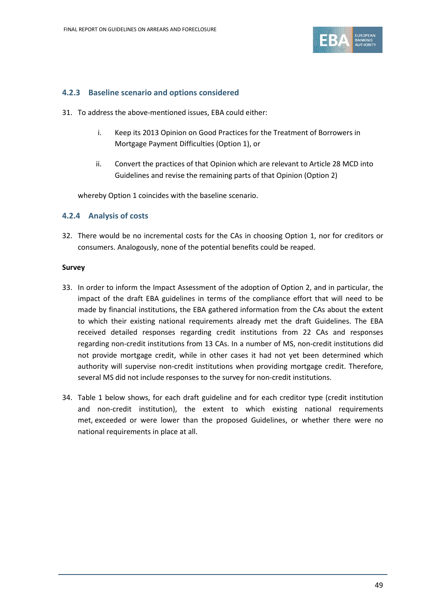

### **4.2.3 Baseline scenario and options considered**

- 31. To address the above-mentioned issues, EBA could either:
	- i. Keep its 2013 Opinion on Good Practices for the Treatment of Borrowers in Mortgage Payment Difficulties (Option 1), or
	- ii. Convert the practices of that Opinion which are relevant to Article 28 MCD into Guidelines and revise the remaining parts of that Opinion (Option 2)

whereby Option 1 coincides with the baseline scenario.

### **4.2.4 Analysis of costs**

32. There would be no incremental costs for the CAs in choosing Option 1, nor for creditors or consumers. Analogously, none of the potential benefits could be reaped.

#### **Survey**

- 33. In order to inform the Impact Assessment of the adoption of Option 2, and in particular, the impact of the draft EBA guidelines in terms of the compliance effort that will need to be made by financial institutions, the EBA gathered information from the CAs about the extent to which their existing national requirements already met the draft Guidelines. The EBA received detailed responses regarding credit institutions from 22 CAs and responses regarding non-credit institutions from 13 CAs. In a number of MS, non-credit institutions did not provide mortgage credit, while in other cases it had not yet been determined which authority will supervise non-credit institutions when providing mortgage credit. Therefore, several MS did not include responses to the survey for non-credit institutions.
- 34. Table 1 below shows, for each draft guideline and for each creditor type (credit institution and non-credit institution), the extent to which existing national requirements met, exceeded or were lower than the proposed Guidelines, or whether there were no national requirements in place at all.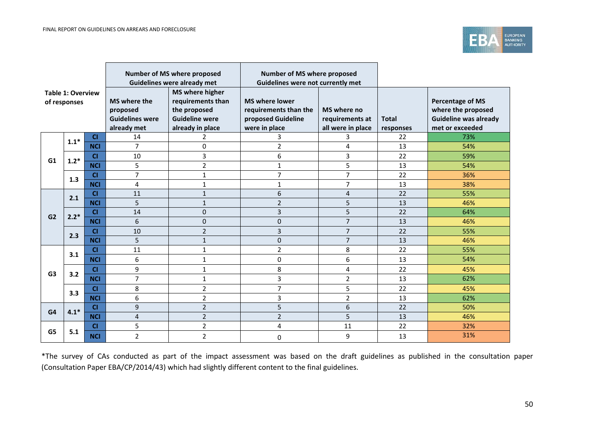

| <b>Table 1: Overview</b><br>of responses |        |            |                                                                   | Number of MS where proposed<br><b>Guidelines were already met</b>                                        |                                                                                       | Number of MS where proposed<br>Guidelines were not currently met |                           |                                                                                                  |
|------------------------------------------|--------|------------|-------------------------------------------------------------------|----------------------------------------------------------------------------------------------------------|---------------------------------------------------------------------------------------|------------------------------------------------------------------|---------------------------|--------------------------------------------------------------------------------------------------|
|                                          |        |            | MS where the<br>proposed<br><b>Guidelines were</b><br>already met | <b>MS</b> where higher<br>requirements than<br>the proposed<br><b>Guideline were</b><br>already in place | <b>MS where lower</b><br>requirements than the<br>proposed Guideline<br>were in place | MS where no<br>requirements at<br>all were in place              | <b>Total</b><br>responses | <b>Percentage of MS</b><br>where the proposed<br><b>Guideline was already</b><br>met or exceeded |
|                                          | $1.1*$ | <b>CI</b>  | 14                                                                | 2                                                                                                        | 3                                                                                     | 3                                                                | 22                        | 73%                                                                                              |
|                                          |        | <b>NCI</b> | $\overline{7}$                                                    | 0                                                                                                        | $\overline{2}$                                                                        | 4                                                                | 13                        | 54%                                                                                              |
| G1                                       | $1.2*$ | <b>CI</b>  | 10                                                                | 3                                                                                                        | 6                                                                                     | 3                                                                | 22                        | 59%                                                                                              |
|                                          |        | <b>NCI</b> | 5                                                                 | $\overline{2}$                                                                                           | $\mathbf{1}$                                                                          | 5                                                                | 13                        | 54%                                                                                              |
|                                          | 1.3    | <b>CI</b>  | 7                                                                 | $\mathbf{1}$                                                                                             | 7                                                                                     | $\overline{7}$                                                   | 22                        | 36%                                                                                              |
|                                          |        | <b>NCI</b> | 4                                                                 | 1                                                                                                        | $\mathbf{1}$                                                                          | $\overline{7}$                                                   | 13                        | 38%                                                                                              |
|                                          | 2.1    | <b>CI</b>  | 11                                                                | $\mathbf{1}$                                                                                             | 6                                                                                     | 4                                                                | 22                        | 55%                                                                                              |
|                                          |        | <b>NCI</b> | 5                                                                 | $\mathbf{1}$                                                                                             | $\overline{2}$                                                                        | 5                                                                | 13                        | 46%                                                                                              |
| G <sub>2</sub>                           | $2.2*$ | <b>CI</b>  | 14                                                                | 0                                                                                                        | 3                                                                                     | 5                                                                | 22                        | 64%                                                                                              |
|                                          |        | <b>NCI</b> | 6                                                                 | 0                                                                                                        | 0                                                                                     | $\overline{7}$                                                   | 13                        | 46%                                                                                              |
|                                          | 2.3    | <b>CI</b>  | 10                                                                | $\overline{2}$                                                                                           | 3                                                                                     | $\overline{7}$                                                   | 22                        | 55%                                                                                              |
|                                          |        | <b>NCI</b> | 5                                                                 | 1                                                                                                        | 0                                                                                     | $\overline{7}$                                                   | 13                        | 46%                                                                                              |
|                                          | 3.1    | <b>CI</b>  | 11                                                                | 1                                                                                                        | $\overline{2}$                                                                        | 8                                                                | 22                        | 55%                                                                                              |
|                                          |        | <b>NCI</b> | 6                                                                 | 1                                                                                                        | 0                                                                                     | 6                                                                | 13                        | 54%                                                                                              |
| G <sub>3</sub>                           | 3.2    | <b>CI</b>  | 9                                                                 | $\mathbf{1}$                                                                                             | 8                                                                                     | 4                                                                | 22                        | 45%                                                                                              |
|                                          |        | <b>NCI</b> | $\overline{7}$                                                    | 1                                                                                                        | 3                                                                                     | $\overline{2}$                                                   | 13                        | 62%                                                                                              |
|                                          | 3.3    | <b>CI</b>  | 8                                                                 | $\overline{2}$                                                                                           | $\overline{7}$                                                                        | 5                                                                | 22                        | 45%                                                                                              |
|                                          |        | <b>NCI</b> | 6                                                                 | $\overline{2}$                                                                                           | 3                                                                                     | $\overline{2}$                                                   | 13                        | 62%                                                                                              |
| G4                                       | $4.1*$ | <b>CI</b>  | 9                                                                 | $\overline{2}$                                                                                           | 5                                                                                     | 6                                                                | 22                        | 50%                                                                                              |
|                                          |        | <b>NCI</b> | 4                                                                 | $\overline{2}$                                                                                           | $\overline{2}$                                                                        | 5                                                                | 13                        | 46%                                                                                              |
| G5                                       |        | CI         | 5                                                                 | $\overline{2}$                                                                                           | 4                                                                                     | 11                                                               | 22                        | 32%                                                                                              |
|                                          | 5.1    | <b>NCI</b> | $\overline{2}$                                                    | $\overline{2}$                                                                                           | 0                                                                                     | 9                                                                | 13                        | 31%                                                                                              |

<u> 1989 - Johann Stoff, deutscher Stoffen und der Stoffen und der Stoffen und der Stoffen und der Stoffen und der</u>

\*The survey of CAs conducted as part of the impact assessment was based on the draft guidelines as published in the consultation paper (Consultation Paper EBA/CP/2014/43) which had slightly different content to the final guidelines.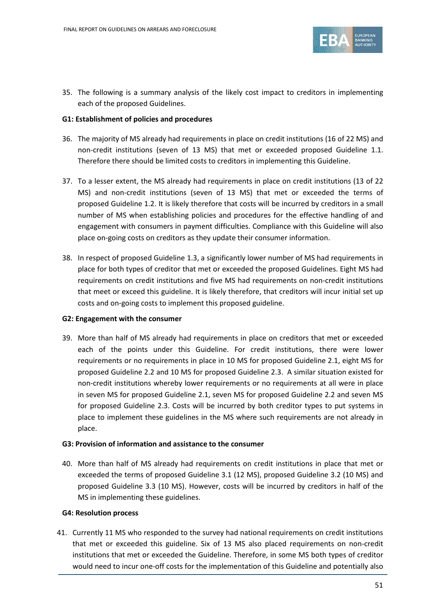

35. The following is a summary analysis of the likely cost impact to creditors in implementing each of the proposed Guidelines.

#### **G1: Establishment of policies and procedures**

- 36. The majority of MS already had requirements in place on credit institutions (16 of 22 MS) and non-credit institutions (seven of 13 MS) that met or exceeded proposed Guideline 1.1. Therefore there should be limited costs to creditors in implementing this Guideline.
- 37. To a lesser extent, the MS already had requirements in place on credit institutions (13 of 22 MS) and non-credit institutions (seven of 13 MS) that met or exceeded the terms of proposed Guideline 1.2. It is likely therefore that costs will be incurred by creditors in a small number of MS when establishing policies and procedures for the effective handling of and engagement with consumers in payment difficulties. Compliance with this Guideline will also place on-going costs on creditors as they update their consumer information.
- 38. In respect of proposed Guideline 1.3, a significantly lower number of MS had requirements in place for both types of creditor that met or exceeded the proposed Guidelines. Eight MS had requirements on credit institutions and five MS had requirements on non-credit institutions that meet or exceed this guideline. It is likely therefore, that creditors will incur initial set up costs and on-going costs to implement this proposed guideline.

#### **G2: Engagement with the consumer**

39. More than half of MS already had requirements in place on creditors that met or exceeded each of the points under this Guideline. For credit institutions, there were lower requirements or no requirements in place in 10 MS for proposed Guideline 2.1, eight MS for proposed Guideline 2.2 and 10 MS for proposed Guideline 2.3. A similar situation existed for non-credit institutions whereby lower requirements or no requirements at all were in place in seven MS for proposed Guideline 2.1, seven MS for proposed Guideline 2.2 and seven MS for proposed Guideline 2.3. Costs will be incurred by both creditor types to put systems in place to implement these guidelines in the MS where such requirements are not already in place.

#### **G3: Provision of information and assistance to the consumer**

40. More than half of MS already had requirements on credit institutions in place that met or exceeded the terms of proposed Guideline 3.1 (12 MS), proposed Guideline 3.2 (10 MS) and proposed Guideline 3.3 (10 MS). However, costs will be incurred by creditors in half of the MS in implementing these guidelines.

#### **G4: Resolution process**

41. Currently 11 MS who responded to the survey had national requirements on credit institutions that met or exceeded this guideline. Six of 13 MS also placed requirements on non-credit institutions that met or exceeded the Guideline. Therefore, in some MS both types of creditor would need to incur one-off costs for the implementation of this Guideline and potentially also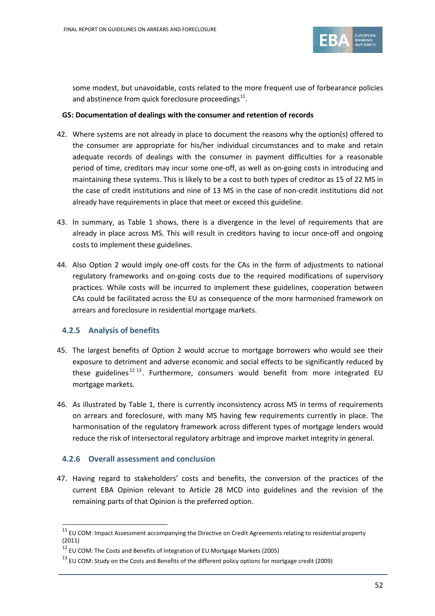

some modest, but unavoidable, costs related to the more frequent use of forbearance policies and abstinence from quick foreclosure proceedings<sup>11</sup>.

#### **G5: Documentation of dealings with the consumer and retention of records**

- 42. Where systems are not already in place to document the reasons why the option(s) offered to the consumer are appropriate for his/her individual circumstances and to make and retain adequate records of dealings with the consumer in payment difficulties for a reasonable period of time, creditors may incur some one-off, as well as on-going costs in introducing and maintaining these systems. This is likely to be a cost to both types of creditor as 15 of 22 MS in the case of credit institutions and nine of 13 MS in the case of non-credit institutions did not already have requirements in place that meet or exceed this guideline.
- 43. In summary, as Table 1 shows, there is a divergence in the level of requirements that are already in place across MS. This will result in creditors having to incur once-off and ongoing costs to implement these guidelines.
- 44. Also Option 2 would imply one-off costs for the CAs in the form of adjustments to national regulatory frameworks and on-going costs due to the required modifications of supervisory practices. While costs will be incurred to implement these guidelines, cooperation between CAs could be facilitated across the EU as consequence of the more harmonised framework on arrears and foreclosure in residential mortgage markets.

### **4.2.5 Analysis of benefits**

 $\overline{a}$ 

- 45. The largest benefits of Option 2 would accrue to mortgage borrowers who would see their exposure to detriment and adverse economic and social effects to be significantly reduced by these guidelines<sup>[12](#page-51-1) [13](#page-51-2)</sup>. Furthermore, consumers would benefit from more integrated EU mortgage markets.
- 46. As illustrated by Table 1, there is currently inconsistency across MS in terms of requirements on arrears and foreclosure, with many MS having few requirements currently in place. The harmonisation of the regulatory framework across different types of mortgage lenders would reduce the risk of intersectoral regulatory arbitrage and improve market integrity in general.

### **4.2.6 Overall assessment and conclusion**

47. Having regard to stakeholders' costs and benefits, the conversion of the practices of the current EBA Opinion relevant to Article 28 MCD into guidelines and the revision of the remaining parts of that Opinion is the preferred option.

<span id="page-51-0"></span> $11$  EU COM: Impact Assessment accompanying the Directive on Credit Agreements relating to residential property (2011)

<span id="page-51-1"></span> $12$  EU COM: The Costs and Benefits of Integration of EU Mortgage Markets (2005)

<span id="page-51-2"></span><sup>&</sup>lt;sup>13</sup> EU COM: Study on the Costs and Benefits of the different policy options for mortgage credit (2009)